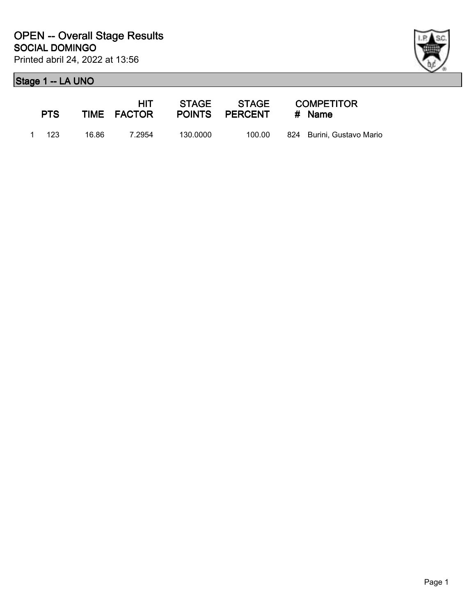

| <b>PTS</b> |       | HIT -<br>TIME FACTOR |          | POINTS PERCENT | <b>COMPETITOR</b><br># Name |
|------------|-------|----------------------|----------|----------------|-----------------------------|
| 1 123      | 16.86 | 7.2954               | 130.0000 | 100.00         | 824 Burini, Gustavo Mario   |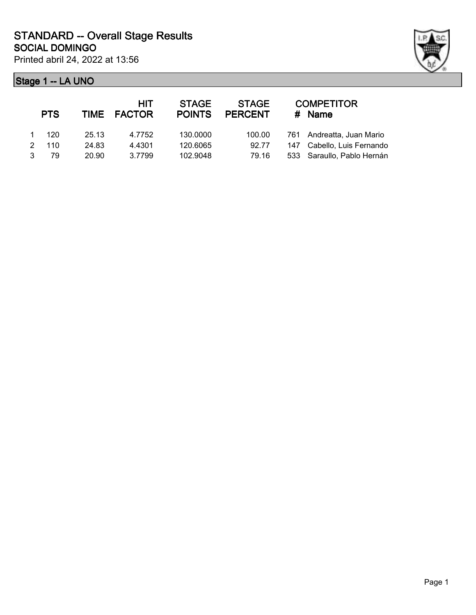

|             | <b>PTS</b> |       | <b>HIT</b><br>TIME FACTOR | <b>STAGE</b><br><b>POINTS</b> | <b>STAGE</b><br><b>PERCENT</b> | <b>COMPETITOR</b><br>$#$ Name |
|-------------|------------|-------|---------------------------|-------------------------------|--------------------------------|-------------------------------|
| $\mathbf 1$ | - 120      | 25.13 | 4.7752                    | 130.0000                      | 100.00                         | 761 Andreatta, Juan Mario     |
| 2           | 110        | 24.83 | 4.4301                    | 120.6065                      | 92.77                          | 147 Cabello, Luis Fernando    |
| 3           | 79         | 20.90 | 3.7799                    | 102.9048                      | 79.16                          | 533 Saraullo, Pablo Hernán    |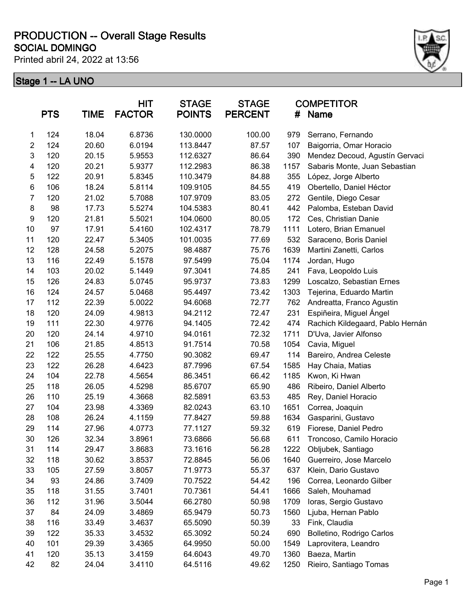Printed abril 24, 2022 at 13:56



|                | <b>PTS</b> | <b>TIME</b> | HIT<br><b>FACTOR</b> | <b>STAGE</b><br><b>POINTS</b> | <b>STAGE</b><br><b>PERCENT</b> | #    | <b>COMPETITOR</b><br>Name        |
|----------------|------------|-------------|----------------------|-------------------------------|--------------------------------|------|----------------------------------|
| 1              | 124        | 18.04       | 6.8736               | 130.0000                      | 100.00                         | 979  | Serrano, Fernando                |
| $\overline{c}$ | 124        | 20.60       | 6.0194               | 113.8447                      | 87.57                          | 107  | Baigorria, Omar Horacio          |
| 3              | 120        | 20.15       | 5.9553               | 112.6327                      | 86.64                          | 390  | Mendez Decoud, Agustín Gervaci   |
| 4              | 120        | 20.21       | 5.9377               | 112.2983                      | 86.38                          | 1157 | Sabaris Monte, Juan Sebastian    |
| 5              | 122        | 20.91       | 5.8345               | 110.3479                      | 84.88                          | 355  | López, Jorge Alberto             |
| 6              | 106        | 18.24       | 5.8114               | 109.9105                      | 84.55                          | 419  | Obertello, Daniel Héctor         |
| $\overline{7}$ | 120        | 21.02       | 5.7088               | 107.9709                      | 83.05                          | 272  | Gentile, Diego Cesar             |
| 8              | 98         | 17.73       | 5.5274               | 104.5383                      | 80.41                          | 442  | Palomba, Esteban David           |
| 9              | 120        | 21.81       | 5.5021               | 104.0600                      | 80.05                          | 172  | Ces, Christian Danie             |
| 10             | 97         | 17.91       | 5.4160               | 102.4317                      | 78.79                          | 1111 | Lotero, Brian Emanuel            |
| 11             | 120        | 22.47       | 5.3405               | 101.0035                      | 77.69                          | 532  | Saraceno, Boris Daniel           |
| 12             | 128        | 24.58       | 5.2075               | 98.4887                       | 75.76                          | 1639 | Martini Zanetti, Carlos          |
| 13             | 116        | 22.49       | 5.1578               | 97.5499                       | 75.04                          | 1174 | Jordan, Hugo                     |
| 14             | 103        | 20.02       | 5.1449               | 97.3041                       | 74.85                          | 241  | Fava, Leopoldo Luis              |
| 15             | 126        | 24.83       | 5.0745               | 95.9737                       | 73.83                          | 1299 | Loscalzo, Sebastian Ernes        |
| 16             | 124        | 24.57       | 5.0468               | 95.4497                       | 73.42                          | 1303 | Tejerina, Eduardo Martin         |
| 17             | 112        | 22.39       | 5.0022               | 94.6068                       | 72.77                          | 762  | Andreatta, Franco Agustin        |
| 18             | 120        | 24.09       | 4.9813               | 94.2112                       | 72.47                          | 231  | Espiñeira, Miguel Ángel          |
| 19             | 111        | 22.30       | 4.9776               | 94.1405                       | 72.42                          | 474  | Rachich Kildegaard, Pablo Hernán |
| 20             | 120        | 24.14       | 4.9710               | 94.0161                       | 72.32                          | 1711 | D'Uva, Javier Alfonso            |
| 21             | 106        | 21.85       | 4.8513               | 91.7514                       | 70.58                          | 1054 | Cavia, Miguel                    |
| 22             | 122        | 25.55       | 4.7750               | 90.3082                       | 69.47                          | 114  | Bareiro, Andrea Celeste          |
| 23             | 122        | 26.28       | 4.6423               | 87.7996                       | 67.54                          | 1585 | Hay Chaia, Matias                |
| 24             | 104        | 22.78       | 4.5654               | 86.3451                       | 66.42                          | 1185 | Kwon, Ki Hwan                    |
| 25             | 118        | 26.05       | 4.5298               | 85.6707                       | 65.90                          | 486  | Ribeiro, Daniel Alberto          |
| 26             | 110        | 25.19       | 4.3668               | 82.5891                       | 63.53                          | 485  | Rey, Daniel Horacio              |
| 27             | 104        | 23.98       | 4.3369               | 82.0243                       | 63.10                          | 1651 | Correa, Joaquin                  |
| 28             | 108        | 26.24       | 4.1159               | 77.8427                       | 59.88                          | 1634 | Gasparini, Gustavo               |
| 29             | 114        | 27.96       | 4.0773               | 77.1127                       | 59.32                          | 619  | Fiorese, Daniel Pedro            |
| 30             | 126        | 32.34       | 3.8961               | 73.6866                       | 56.68                          | 611  | Troncoso, Camilo Horacio         |
| 31             | 114        | 29.47       | 3.8683               | 73.1616                       | 56.28                          | 1222 | Obljubek, Santiago               |
| 32             | 118        | 30.62       | 3.8537               | 72.8845                       | 56.06                          | 1640 | Guerreiro, Jose Marcelo          |
| 33             | 105        | 27.59       | 3.8057               | 71.9773                       | 55.37                          | 637  | Klein, Dario Gustavo             |
| 34             | 93         | 24.86       | 3.7409               | 70.7522                       | 54.42                          | 196  | Correa, Leonardo Gilber          |
| 35             | 118        | 31.55       | 3.7401               | 70.7361                       | 54.41                          | 1666 | Saleh, Mouhamad                  |
| 36             | 112        | 31.96       | 3.5044               | 66.2780                       | 50.98                          | 1709 | Ioras, Sergio Gustavo            |
| 37             | 84         | 24.09       | 3.4869               | 65.9479                       | 50.73                          | 1560 | Ljuba, Hernan Pablo              |
| 38             | 116        | 33.49       | 3.4637               | 65.5090                       | 50.39                          | 33   | Fink, Claudia                    |
| 39             | 122        | 35.33       | 3.4532               | 65.3092                       | 50.24                          | 690  | Bolletino, Rodrigo Carlos        |
| 40             | 101        | 29.39       | 3.4365               | 64.9950                       | 50.00                          | 1549 | Laprovitera, Leandro             |
| 41             | 120        | 35.13       | 3.4159               | 64.6043                       | 49.70                          | 1360 | Baeza, Martin                    |
| 42             | 82         | 24.04       | 3.4110               | 64.5116                       | 49.62                          | 1250 | Rieiro, Santiago Tomas           |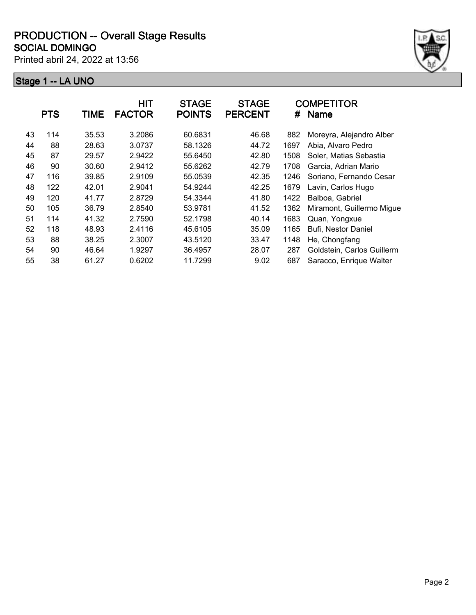Printed abril 24, 2022 at 13:56



|    | <b>PTS</b> | TIME  | <b>HIT</b><br><b>FACTOR</b> | <b>STAGE</b><br><b>POINTS</b> | <b>STAGE</b><br><b>PERCENT</b> | #    | <b>COMPETITOR</b><br><b>Name</b> |
|----|------------|-------|-----------------------------|-------------------------------|--------------------------------|------|----------------------------------|
| 43 | 114        | 35.53 | 3.2086                      | 60.6831                       | 46.68                          | 882  | Moreyra, Alejandro Alber         |
| 44 | 88         | 28.63 | 3.0737                      | 58.1326                       | 44.72                          | 1697 | Abia, Alvaro Pedro               |
| 45 | 87         | 29.57 | 2.9422                      | 55.6450                       | 42.80                          | 1508 | Soler, Matias Sebastia           |
| 46 | 90         | 30.60 | 2.9412                      | 55.6262                       | 42.79                          | 1708 | Garcia, Adrian Mario             |
| 47 | 116        | 39.85 | 2.9109                      | 55.0539                       | 42.35                          | 1246 | Soriano, Fernando Cesar          |
| 48 | 122        | 42.01 | 2.9041                      | 54.9244                       | 42.25                          | 1679 | Lavin, Carlos Hugo               |
| 49 | 120        | 41.77 | 2.8729                      | 54.3344                       | 41.80                          | 1422 | Balboa, Gabriel                  |
| 50 | 105        | 36.79 | 2.8540                      | 53.9781                       | 41.52                          | 1362 | Miramont, Guillermo Migue        |
| 51 | 114        | 41.32 | 2.7590                      | 52.1798                       | 40.14                          | 1683 | Quan, Yongxue                    |
| 52 | 118        | 48.93 | 2.4116                      | 45.6105                       | 35.09                          | 1165 | Bufi, Nestor Daniel              |
| 53 | 88         | 38.25 | 2.3007                      | 43.5120                       | 33.47                          | 1148 | He, Chongfang                    |
| 54 | 90         | 46.64 | 1.9297                      | 36.4957                       | 28.07                          | 287  | Goldstein, Carlos Guillerm       |
| 55 | 38         | 61.27 | 0.6202                      | 11.7299                       | 9.02                           | 687  | Saracco, Enrique Walter          |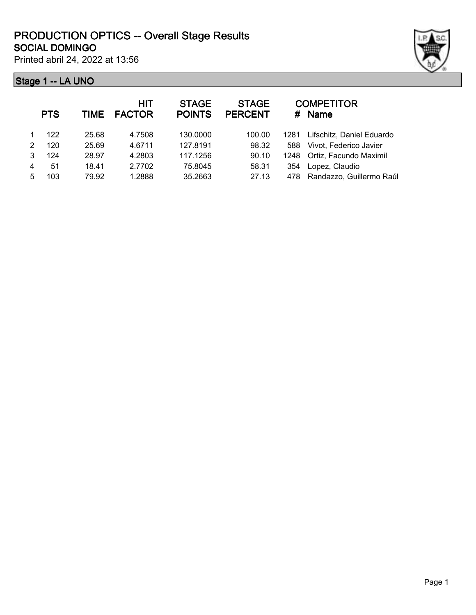

Printed abril 24, 2022 at 13:56

|   | <b>PTS</b> |       | HIT<br>TIME FACTOR | <b>STAGE</b><br><b>POINTS</b> | <b>STAGE</b><br><b>PERCENT</b> | #    | <b>COMPETITOR</b><br>Name   |
|---|------------|-------|--------------------|-------------------------------|--------------------------------|------|-----------------------------|
|   | 122        | 25.68 | 4.7508             | 130.0000                      | 100.00                         | 1281 | Lifschitz, Daniel Eduardo   |
| 2 | 120        | 25.69 | 4.6711             | 127.8191                      | 98.32                          | 588  | Vivot, Federico Javier      |
|   | 124        | 28.97 | 4.2803             | 117.1256                      | 90.10                          |      | 1248 Ortiz, Facundo Maximil |
| 4 | 51         | 18.41 | 2.7702             | 75.8045                       | 58.31                          | 354  | Lopez, Claudio              |
| 5 | 103        | 79.92 | 1.2888             | 35.2663                       | 27.13                          | 478  | Randazzo, Guillermo Raúl    |
|   |            |       |                    |                               |                                |      |                             |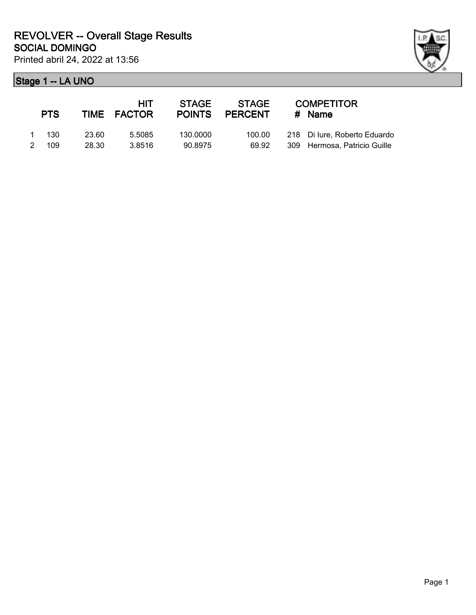| <b>PTS</b> |       | <b>HIT</b><br>TIME FACTOR | <b>STAGE</b><br><b>POINTS</b> | <b>STAGE</b><br><b>PERCENT</b> | <b>COMPETITOR</b><br>$#$ Name |
|------------|-------|---------------------------|-------------------------------|--------------------------------|-------------------------------|
| - 130      | 23.60 | 5.5085                    | 130.0000                      | 100.00                         | 218 Di lure, Roberto Eduardo  |
| 109        | 28.30 | 3.8516                    | 90.8975                       | 69.92                          | 309 Hermosa, Patricio Guille  |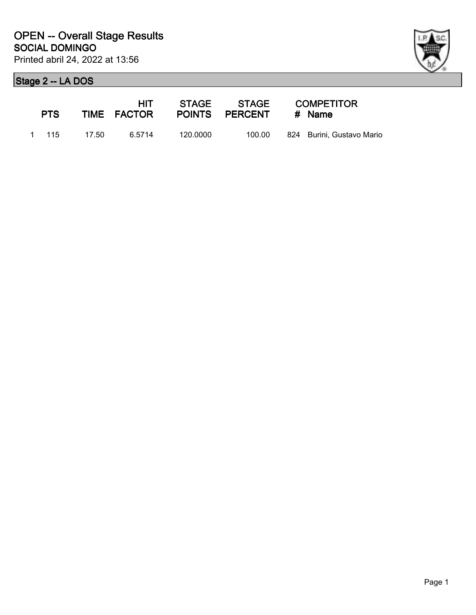

| <b>PTS</b> |       | HIT.<br>TIME FACTOR |          | POINTS PERCENT # Name | <b>COMPETITOR</b>         |
|------------|-------|---------------------|----------|-----------------------|---------------------------|
| 1 115      | 17.50 | ჩ 5714              | 120.0000 | 100.00                | 824 Burini, Gustavo Mario |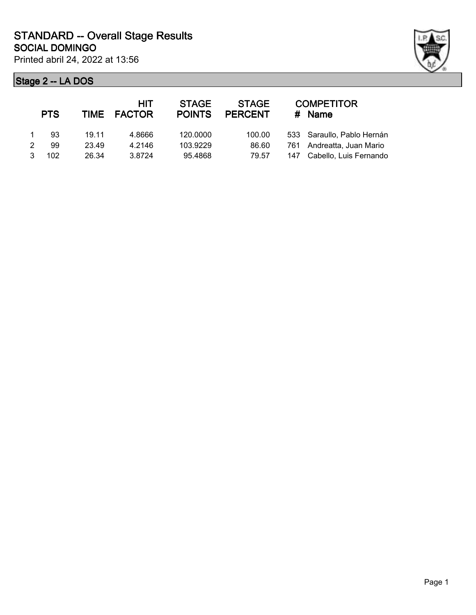

|   | <b>PTS</b> |       | <b>HIT</b><br>TIME FACTOR | <b>STAGE</b><br><b>POINTS</b> | <b>STAGE</b><br><b>PERCENT</b> | <b>COMPETITOR</b><br># Name |
|---|------------|-------|---------------------------|-------------------------------|--------------------------------|-----------------------------|
|   | 93         | 19.11 | 4.8666                    | 120.0000                      | 100.00                         | 533 Saraullo, Pablo Hernán  |
| 2 | 99         | 23.49 | 4.2146                    | 103.9229                      | 86.60                          | 761 Andreatta, Juan Mario   |
| 3 | 102        | 26.34 | 3.8724                    | 95.4868                       | 79.57                          | 147 Cabello, Luis Fernando  |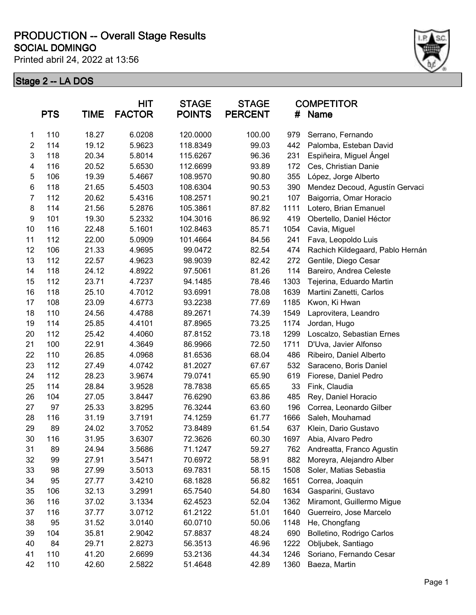Printed abril 24, 2022 at 13:56



|                | <b>PTS</b> | <b>TIME</b> | <b>HIT</b><br><b>FACTOR</b> | <b>STAGE</b><br><b>POINTS</b> | <b>STAGE</b><br><b>PERCENT</b> | #    | <b>COMPETITOR</b><br><b>Name</b> |
|----------------|------------|-------------|-----------------------------|-------------------------------|--------------------------------|------|----------------------------------|
| 1              | 110        | 18.27       | 6.0208                      | 120.0000                      | 100.00                         | 979  | Serrano, Fernando                |
| $\overline{2}$ | 114        | 19.12       | 5.9623                      | 118.8349                      | 99.03                          | 442  | Palomba, Esteban David           |
| 3              | 118        | 20.34       | 5.8014                      | 115.6267                      | 96.36                          | 231  | Espiñeira, Miguel Ángel          |
| 4              | 116        | 20.52       | 5.6530                      | 112.6699                      | 93.89                          | 172  | Ces, Christian Danie             |
| 5              | 106        | 19.39       | 5.4667                      | 108.9570                      | 90.80                          | 355  | López, Jorge Alberto             |
| 6              | 118        | 21.65       | 5.4503                      | 108.6304                      | 90.53                          | 390  | Mendez Decoud, Agustín Gervaci   |
| $\overline{7}$ | 112        | 20.62       | 5.4316                      | 108.2571                      | 90.21                          | 107  | Baigorria, Omar Horacio          |
| 8              | 114        | 21.56       | 5.2876                      | 105.3861                      | 87.82                          | 1111 | Lotero, Brian Emanuel            |
| 9              | 101        | 19.30       | 5.2332                      | 104.3016                      | 86.92                          | 419  | Obertello, Daniel Héctor         |
| 10             | 116        | 22.48       | 5.1601                      | 102.8463                      | 85.71                          | 1054 | Cavia, Miguel                    |
| 11             | 112        | 22.00       | 5.0909                      | 101.4664                      | 84.56                          | 241  | Fava, Leopoldo Luis              |
| 12             | 106        | 21.33       | 4.9695                      | 99.0472                       | 82.54                          | 474  | Rachich Kildegaard, Pablo Hernán |
| 13             | 112        | 22.57       | 4.9623                      | 98.9039                       | 82.42                          | 272  | Gentile, Diego Cesar             |
| 14             | 118        | 24.12       | 4.8922                      | 97.5061                       | 81.26                          | 114  | Bareiro, Andrea Celeste          |
| 15             | 112        | 23.71       | 4.7237                      | 94.1485                       | 78.46                          | 1303 | Tejerina, Eduardo Martin         |
| 16             | 118        | 25.10       | 4.7012                      | 93.6991                       | 78.08                          | 1639 | Martini Zanetti, Carlos          |
| 17             | 108        | 23.09       | 4.6773                      | 93.2238                       | 77.69                          | 1185 | Kwon, Ki Hwan                    |
| 18             | 110        | 24.56       | 4.4788                      | 89.2671                       | 74.39                          | 1549 | Laprovitera, Leandro             |
| 19             | 114        | 25.85       | 4.4101                      | 87.8965                       | 73.25                          | 1174 | Jordan, Hugo                     |
| 20             | 112        | 25.42       | 4.4060                      | 87.8152                       | 73.18                          | 1299 | Loscalzo, Sebastian Ernes        |
| 21             | 100        | 22.91       | 4.3649                      | 86.9966                       | 72.50                          | 1711 | D'Uva, Javier Alfonso            |
| 22             | 110        | 26.85       | 4.0968                      | 81.6536                       | 68.04                          | 486  | Ribeiro, Daniel Alberto          |
| 23             | 112        | 27.49       | 4.0742                      | 81.2027                       | 67.67                          | 532  | Saraceno, Boris Daniel           |
| 24             | 112        | 28.23       | 3.9674                      | 79.0741                       | 65.90                          | 619  | Fiorese, Daniel Pedro            |
| 25             | 114        | 28.84       | 3.9528                      | 78.7838                       | 65.65                          | 33   | Fink, Claudia                    |
| 26             | 104        | 27.05       | 3.8447                      | 76.6290                       | 63.86                          | 485  | Rey, Daniel Horacio              |
| 27             | 97         | 25.33       | 3.8295                      | 76.3244                       | 63.60                          | 196  | Correa, Leonardo Gilber          |
| 28             | 116        | 31.19       | 3.7191                      | 74.1259                       | 61.77                          | 1666 | Saleh, Mouhamad                  |
| 29             | 89         | 24.02       | 3.7052                      | 73.8489                       | 61.54                          | 637  | Klein, Dario Gustavo             |
| 30             | 116        | 31.95       | 3.6307                      | 72.3626                       | 60.30                          | 1697 | Abia, Alvaro Pedro               |
| 31             | 89         | 24.94       | 3.5686                      | 71.1247                       | 59.27                          | 762  | Andreatta, Franco Agustin        |
| 32             | 99         | 27.91       | 3.5471                      | 70.6972                       | 58.91                          | 882  | Moreyra, Alejandro Alber         |
| 33             | 98         | 27.99       | 3.5013                      | 69.7831                       | 58.15                          | 1508 | Soler, Matias Sebastia           |
| 34             | 95         | 27.77       | 3.4210                      | 68.1828                       | 56.82                          | 1651 | Correa, Joaquin                  |
| 35             | 106        | 32.13       | 3.2991                      | 65.7540                       | 54.80                          | 1634 | Gasparini, Gustavo               |
| 36             | 116        | 37.02       | 3.1334                      | 62.4523                       | 52.04                          | 1362 | Miramont, Guillermo Migue        |
| 37             | 116        | 37.77       | 3.0712                      | 61.2122                       | 51.01                          | 1640 | Guerreiro, Jose Marcelo          |
| 38             | 95         | 31.52       | 3.0140                      | 60.0710                       | 50.06                          | 1148 | He, Chongfang                    |
| 39             | 104        | 35.81       | 2.9042                      | 57.8837                       | 48.24                          | 690  | Bolletino, Rodrigo Carlos        |
| 40             | 84         | 29.71       | 2.8273                      | 56.3513                       | 46.96                          | 1222 | Obljubek, Santiago               |
| 41             | 110        | 41.20       | 2.6699                      | 53.2136                       | 44.34                          | 1246 | Soriano, Fernando Cesar          |
| 42             | 110        | 42.60       | 2.5822                      | 51.4648                       | 42.89                          | 1360 | Baeza, Martin                    |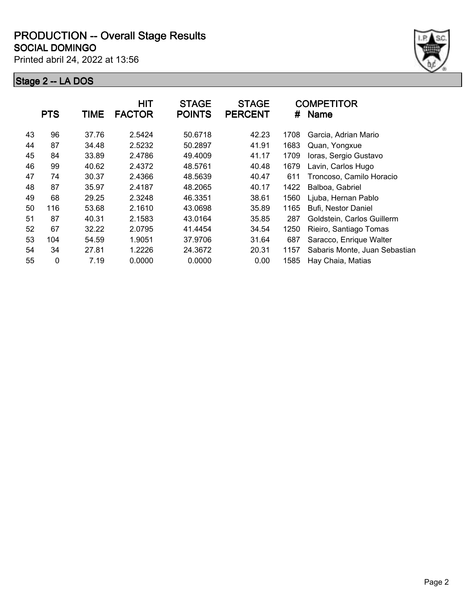Printed abril 24, 2022 at 13:56



|    | <b>PTS</b> | TIME  | <b>HIT</b><br><b>FACTOR</b> | <b>STAGE</b><br><b>POINTS</b> | <b>STAGE</b><br><b>PERCENT</b> | #    | <b>COMPETITOR</b><br><b>Name</b> |
|----|------------|-------|-----------------------------|-------------------------------|--------------------------------|------|----------------------------------|
| 43 | 96         | 37.76 | 2.5424                      | 50.6718                       | 42.23                          | 1708 | Garcia, Adrian Mario             |
| 44 | 87         | 34.48 | 2.5232                      | 50.2897                       | 41.91                          | 1683 | Quan, Yongxue                    |
| 45 | 84         | 33.89 | 2.4786                      | 49.4009                       | 41.17                          | 1709 | Ioras, Sergio Gustavo            |
| 46 | 99         | 40.62 | 2.4372                      | 48.5761                       | 40.48                          | 1679 | Lavin, Carlos Hugo               |
| 47 | 74         | 30.37 | 2.4366                      | 48.5639                       | 40.47                          | 611  | Troncoso, Camilo Horacio         |
| 48 | 87         | 35.97 | 2.4187                      | 48.2065                       | 40.17                          | 1422 | Balboa, Gabriel                  |
| 49 | 68         | 29.25 | 2.3248                      | 46.3351                       | 38.61                          | 1560 | Ljuba, Hernan Pablo              |
| 50 | 116        | 53.68 | 2.1610                      | 43.0698                       | 35.89                          | 1165 | Bufi, Nestor Daniel              |
| 51 | 87         | 40.31 | 2.1583                      | 43.0164                       | 35.85                          | 287  | Goldstein, Carlos Guillerm       |
| 52 | 67         | 32.22 | 2.0795                      | 41.4454                       | 34.54                          | 1250 | Rieiro, Santiago Tomas           |
| 53 | 104        | 54.59 | 1.9051                      | 37.9706                       | 31.64                          | 687  | Saracco, Enrique Walter          |
| 54 | 34         | 27.81 | 1.2226                      | 24.3672                       | 20.31                          | 1157 | Sabaris Monte, Juan Sebastian    |
| 55 | 0          | 7.19  | 0.0000                      | 0.0000                        | 0.00                           | 1585 | Hay Chaia, Matias                |
|    |            |       |                             |                               |                                |      |                                  |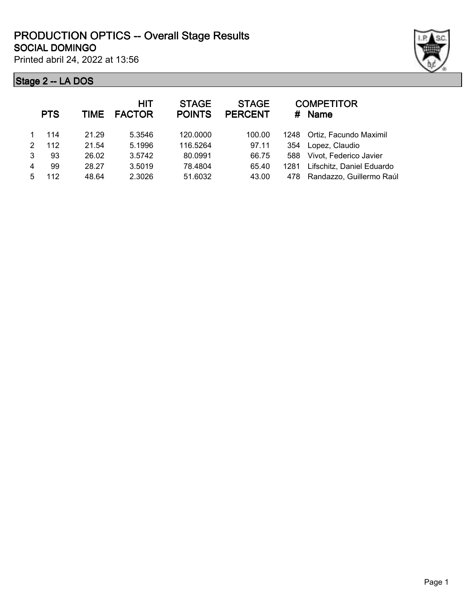Printed abril 24, 2022 at 13:56

|   | <b>PTS</b> | <b>TIME</b> | <b>HIT</b><br><b>FACTOR</b> | <b>STAGE</b><br><b>POINTS</b> | <b>STAGE</b><br><b>PERCENT</b> | #    | <b>COMPETITOR</b><br><b>Name</b> |
|---|------------|-------------|-----------------------------|-------------------------------|--------------------------------|------|----------------------------------|
|   | 114        | 21.29       | 5.3546                      | 120.0000                      | 100.00                         |      | 1248 Ortiz, Facundo Maximil      |
| 2 | 112        | 21.54       | 5.1996                      | 116.5264                      | 97.11                          | 354  | Lopez, Claudio                   |
| 3 | 93         | 26.02       | 3.5742                      | 80.0991                       | 66.75                          | 588  | Vivot, Federico Javier           |
| 4 | 99         | 28.27       | 3.5019                      | 78.4804                       | 65.40                          | 1281 | Lifschitz, Daniel Eduardo        |
|   | 112        | 48.64       | 2.3026                      | 51.6032                       | 43.00                          | 478  | Randazzo, Guillermo Raúl         |
|   |            |             |                             |                               |                                |      |                                  |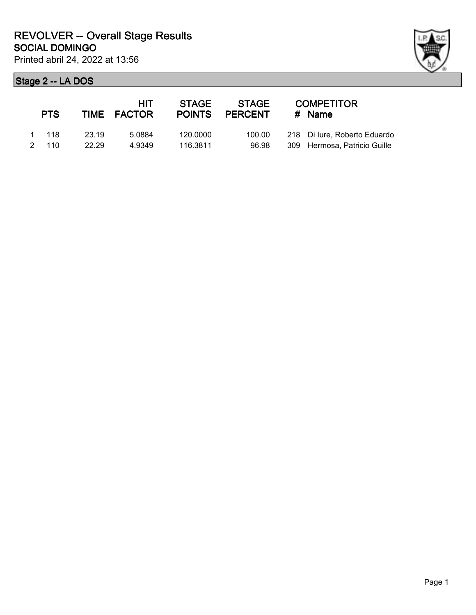| ł |
|---|

| <b>PTS</b>     |                | HIT<br>TIME FACTOR | <b>STAGE</b><br><b>POINTS</b> | STAGE<br>PERCENT | <b>COMPETITOR</b><br>$#$ Name                                |
|----------------|----------------|--------------------|-------------------------------|------------------|--------------------------------------------------------------|
| 1 118<br>2 110 | 23.19<br>22.29 | 5.0884<br>4 9349   | 120.0000<br>116.3811          | 100.00<br>96.98  | 218 Di lure, Roberto Eduardo<br>309 Hermosa, Patricio Guille |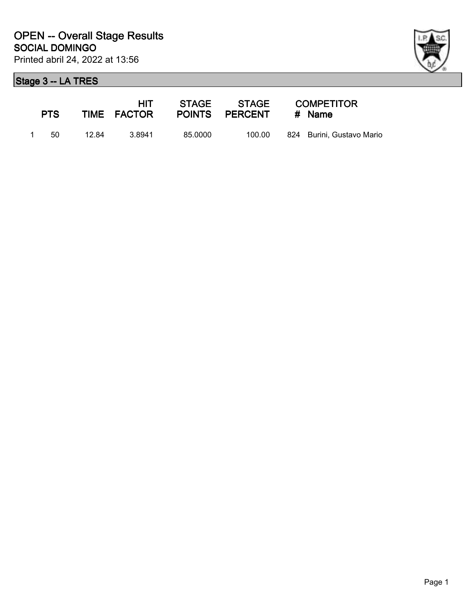

| <b>PTS</b> |       | HIT<br>TIME FACTOR |         | STAGE STAGE<br>POINTS PERCENT | <b>COMPETITOR</b><br># Name |
|------------|-------|--------------------|---------|-------------------------------|-----------------------------|
| -50.       | 12.84 | 3.8941             | 85.0000 | 100.00                        | 824 Burini, Gustavo Mario   |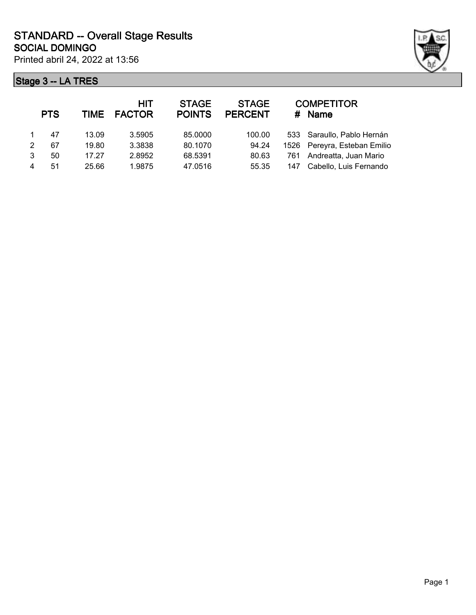



|   | <b>PTS</b> | <b>TIME</b> | <b>HIT</b><br><b>FACTOR</b> | <b>STAGE</b><br><b>POINTS</b> | <b>STAGE</b><br><b>PERCENT</b> |     | <b>COMPETITOR</b><br># Name  |
|---|------------|-------------|-----------------------------|-------------------------------|--------------------------------|-----|------------------------------|
|   | 47         | 13.09       | 3.5905                      | 85,0000                       | 100.00                         |     | 533 Saraullo, Pablo Hernán   |
| 2 | 67         | 19.80       | 3.3838                      | 80.1070                       | 94.24                          |     | 1526 Pereyra, Esteban Emilio |
| 3 | 50         | 17.27       | 2.8952                      | 68.5391                       | 80.63                          | 761 | Andreatta, Juan Mario        |
| 4 | 51         | 25.66       | 1.9875                      | 47.0516                       | 55.35                          | 147 | Cabello, Luis Fernando       |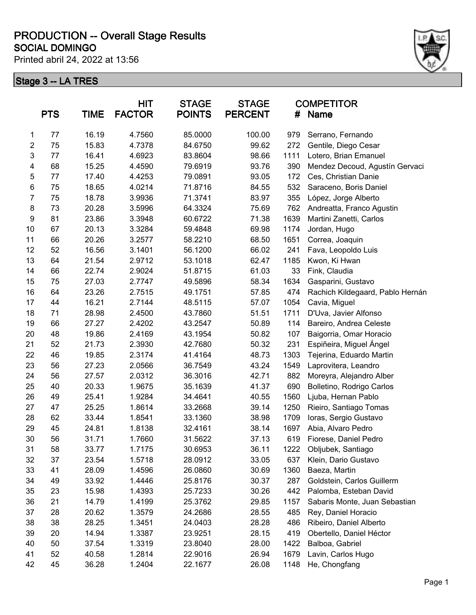Printed abril 24, 2022 at 13:56



|                         | <b>PTS</b> | TIME  | <b>HIT</b><br><b>FACTOR</b> | <b>STAGE</b><br><b>POINTS</b> | <b>STAGE</b><br><b>PERCENT</b> | #    | <b>COMPETITOR</b><br><b>Name</b> |
|-------------------------|------------|-------|-----------------------------|-------------------------------|--------------------------------|------|----------------------------------|
| 1                       | 77         | 16.19 | 4.7560                      | 85.0000                       | 100.00                         | 979  | Serrano, Fernando                |
| $\sqrt{2}$              | 75         | 15.83 | 4.7378                      | 84.6750                       | 99.62                          | 272  | Gentile, Diego Cesar             |
| 3                       | 77         | 16.41 | 4.6923                      | 83.8604                       | 98.66                          | 1111 | Lotero, Brian Emanuel            |
| $\overline{\mathbf{4}}$ | 68         | 15.25 | 4.4590                      | 79.6919                       | 93.76                          | 390  | Mendez Decoud, Agustín Gervaci   |
| 5                       | 77         | 17.40 | 4.4253                      | 79.0891                       | 93.05                          | 172  | Ces, Christian Danie             |
| $\,6$                   | 75         | 18.65 | 4.0214                      | 71.8716                       | 84.55                          | 532  | Saraceno, Boris Daniel           |
| $\overline{7}$          | 75         | 18.78 | 3.9936                      | 71.3741                       | 83.97                          | 355  | López, Jorge Alberto             |
| $\bf 8$                 | 73         | 20.28 | 3.5996                      | 64.3324                       | 75.69                          | 762  | Andreatta, Franco Agustin        |
| $\boldsymbol{9}$        | 81         | 23.86 | 3.3948                      | 60.6722                       | 71.38                          | 1639 | Martini Zanetti, Carlos          |
| 10                      | 67         | 20.13 | 3.3284                      | 59.4848                       | 69.98                          | 1174 | Jordan, Hugo                     |
| 11                      | 66         | 20.26 | 3.2577                      | 58.2210                       | 68.50                          | 1651 | Correa, Joaquin                  |
| 12                      | 52         | 16.56 | 3.1401                      | 56.1200                       | 66.02                          | 241  | Fava, Leopoldo Luis              |
| 13                      | 64         | 21.54 | 2.9712                      | 53.1018                       | 62.47                          | 1185 | Kwon, Ki Hwan                    |
| 14                      | 66         | 22.74 | 2.9024                      | 51.8715                       | 61.03                          | 33   | Fink, Claudia                    |
| 15                      | 75         | 27.03 | 2.7747                      | 49.5896                       | 58.34                          | 1634 | Gasparini, Gustavo               |
| 16                      | 64         | 23.26 | 2.7515                      | 49.1751                       | 57.85                          | 474  | Rachich Kildegaard, Pablo Hernán |
| 17                      | 44         | 16.21 | 2.7144                      | 48.5115                       | 57.07                          | 1054 | Cavia, Miguel                    |
| 18                      | 71         | 28.98 | 2.4500                      | 43.7860                       | 51.51                          | 1711 | D'Uva, Javier Alfonso            |
| 19                      | 66         | 27.27 | 2.4202                      | 43.2547                       | 50.89                          | 114  | Bareiro, Andrea Celeste          |
| 20                      | 48         | 19.86 | 2.4169                      | 43.1954                       | 50.82                          | 107  | Baigorria, Omar Horacio          |
| 21                      | 52         | 21.73 | 2.3930                      | 42.7680                       | 50.32                          | 231  | Espiñeira, Miguel Ángel          |
| 22                      | 46         | 19.85 | 2.3174                      | 41.4164                       | 48.73                          | 1303 | Tejerina, Eduardo Martin         |
| 23                      | 56         | 27.23 | 2.0566                      | 36.7549                       | 43.24                          | 1549 | Laprovitera, Leandro             |
| 24                      | 56         | 27.57 | 2.0312                      | 36.3016                       | 42.71                          | 882  | Moreyra, Alejandro Alber         |
| 25                      | 40         | 20.33 | 1.9675                      | 35.1639                       | 41.37                          | 690  | Bolletino, Rodrigo Carlos        |
| 26                      | 49         | 25.41 | 1.9284                      | 34.4641                       | 40.55                          | 1560 | Ljuba, Hernan Pablo              |
| 27                      | 47         | 25.25 | 1.8614                      | 33.2668                       | 39.14                          | 1250 | Rieiro, Santiago Tomas           |
| 28                      | 62         | 33.44 | 1.8541                      | 33.1360                       | 38.98                          | 1709 | Ioras, Sergio Gustavo            |
| 29                      | 45         | 24.81 | 1.8138                      | 32.4161                       | 38.14                          | 1697 | Abia, Alvaro Pedro               |
| 30                      | 56         | 31.71 | 1.7660                      | 31.5622                       | 37.13                          | 619  | Fiorese, Daniel Pedro            |
| 31                      | 58         | 33.77 | 1.7175                      | 30.6953                       | 36.11                          | 1222 | Obljubek, Santiago               |
| 32                      | 37         | 23.54 | 1.5718                      | 28.0912                       | 33.05                          | 637  | Klein, Dario Gustavo             |
| 33                      | 41         | 28.09 | 1.4596                      | 26.0860                       | 30.69                          | 1360 | Baeza, Martin                    |
| 34                      | 49         | 33.92 | 1.4446                      | 25.8176                       | 30.37                          | 287  | Goldstein, Carlos Guillerm       |
| 35                      | 23         | 15.98 | 1.4393                      | 25.7233                       | 30.26                          | 442  | Palomba, Esteban David           |
| 36                      | 21         | 14.79 | 1.4199                      | 25.3762                       | 29.85                          | 1157 | Sabaris Monte, Juan Sebastian    |
| 37                      | 28         | 20.62 | 1.3579                      | 24.2686                       | 28.55                          | 485  | Rey, Daniel Horacio              |
| 38                      | 38         | 28.25 | 1.3451                      | 24.0403                       | 28.28                          | 486  | Ribeiro, Daniel Alberto          |
| 39                      | 20         | 14.94 | 1.3387                      | 23.9251                       | 28.15                          | 419  | Obertello, Daniel Héctor         |
| 40                      | 50         | 37.54 | 1.3319                      | 23.8040                       | 28.00                          | 1422 | Balboa, Gabriel                  |
| 41                      | 52         | 40.58 | 1.2814                      | 22.9016                       | 26.94                          | 1679 | Lavin, Carlos Hugo               |
| 42                      | 45         | 36.28 | 1.2404                      | 22.1677                       | 26.08                          | 1148 | He, Chongfang                    |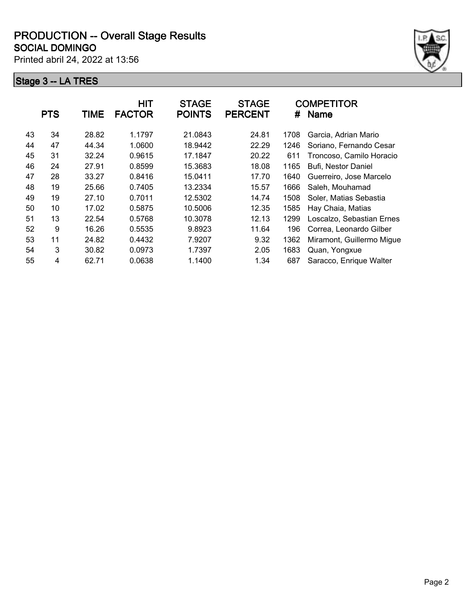Printed abril 24, 2022 at 13:56



| <b>PTS</b><br><b>TIME</b><br><b>FACTOR</b> | <b>HIT</b><br><b>STAGE</b><br><b>POINTS</b> | <b>STAGE</b><br><b>PERCENT</b> | #    | <b>COMPETITOR</b><br><b>Name</b> |
|--------------------------------------------|---------------------------------------------|--------------------------------|------|----------------------------------|
| 43<br>34<br>28.82<br>1.1797                | 21.0843                                     | 24.81                          | 1708 | Garcia, Adrian Mario             |
| 47<br>44<br>44.34<br>1.0600                | 18.9442                                     | 22.29                          | 1246 | Soriano, Fernando Cesar          |
| 45<br>31<br>32.24<br>0.9615                | 17.1847                                     | 20.22                          | 611  | Troncoso, Camilo Horacio         |
| 46<br>24<br>27.91<br>0.8599                | 15.3683                                     | 18.08                          | 1165 | Bufi, Nestor Daniel              |
| 47<br>28<br>0.8416<br>33.27                | 15.0411                                     | 17.70                          | 1640 | Guerreiro, Jose Marcelo          |
| 48<br>19<br>25.66<br>0.7405                | 13.2334                                     | 15.57                          | 1666 | Saleh, Mouhamad                  |
| 19<br>49<br>27.10<br>0.7011                | 12.5302                                     | 14.74                          | 1508 | Soler, Matias Sebastia           |
| 50<br>10<br>17.02<br>0.5875                | 10.5006                                     | 12.35                          | 1585 | Hay Chaia, Matias                |
| 51<br>13<br>0.5768<br>22.54                | 10.3078                                     | 12.13                          | 1299 | Loscalzo, Sebastian Ernes        |
| 9<br>52<br>16.26<br>0.5535                 | 9.8923                                      | 11.64                          | 196  | Correa, Leonardo Gilber          |
| 53<br>11<br>0.4432<br>24.82                | 7.9207                                      | 9.32                           | 1362 | Miramont, Guillermo Migue        |
| 3<br>54<br>30.82<br>0.0973                 | 1.7397                                      | 2.05                           | 1683 | Quan, Yongxue                    |
| 55<br>4<br>0.0638<br>62.71                 | 1.1400                                      | 1.34                           | 687  | Saracco, Enrique Walter          |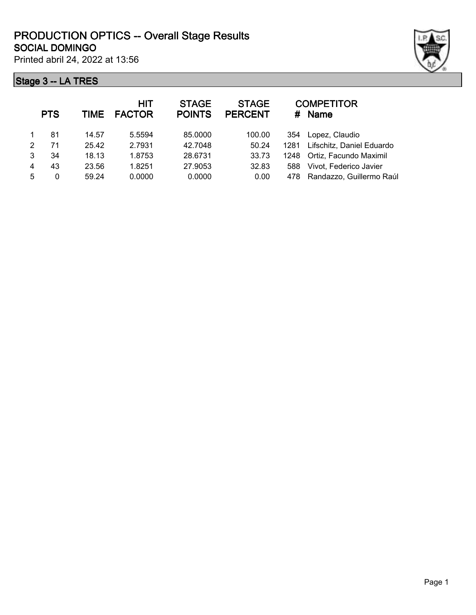Printed abril 24, 2022 at 13:56



|   | <b>PTS</b> | TIME  | <b>HIT</b><br><b>FACTOR</b> | <b>STAGE</b><br><b>POINTS</b> | <b>STAGE</b><br><b>PERCENT</b> | #    | <b>COMPETITOR</b><br><b>Name</b> |
|---|------------|-------|-----------------------------|-------------------------------|--------------------------------|------|----------------------------------|
|   | 81         | 14.57 | 5.5594                      | 85.0000                       | 100.00                         | 354  | Lopez, Claudio                   |
| 2 | 71         | 25.42 | 2.7931                      | 42.7048                       | 50.24                          | 1281 | Lifschitz, Daniel Eduardo        |
| 3 | 34         | 18.13 | 1.8753                      | 28.6731                       | 33.73                          |      | 1248 Ortiz, Facundo Maximil      |
| 4 | 43         | 23.56 | 1.8251                      | 27.9053                       | 32.83                          | 588  | Vivot, Federico Javier           |
| 5 | 0          | 59.24 | 0.0000                      | 0.0000                        | 0.00                           | 478  | Randazzo, Guillermo Raúl         |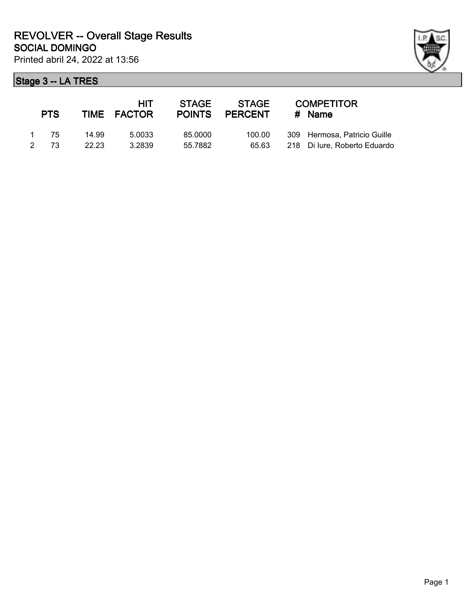|               | <b>PTS</b> |       | HIT.<br>TIME FACTOR | <b>STAGE</b><br><b>POINTS</b> | STAGE<br><b>PERCENT</b> | <b>COMPETITOR</b><br>$#$ Name |
|---------------|------------|-------|---------------------|-------------------------------|-------------------------|-------------------------------|
|               | 1 75       | 14.99 | 5.0033              | 85.0000                       | 100.00                  | 309 Hermosa, Patricio Guille  |
| $\mathcal{P}$ | 73         | 22.23 | 3.2839              | 55.7882                       | 65.63                   | 218 Di lure, Roberto Eduardo  |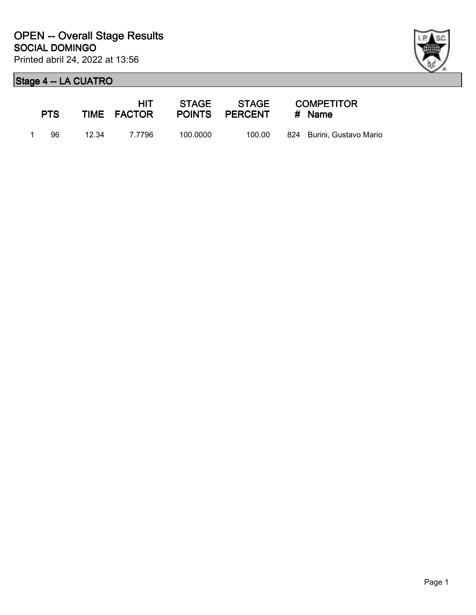

| <b>PTS</b> |       | HIT.<br>TIME FACTOR |          | STAGE STAGE<br>POINTS PERCENT | <b>COMPETITOR</b><br># Name |
|------------|-------|---------------------|----------|-------------------------------|-----------------------------|
| 96         | 12.34 | 7.7796              | 100.0000 | 100.00                        | 824 Burini, Gustavo Mario   |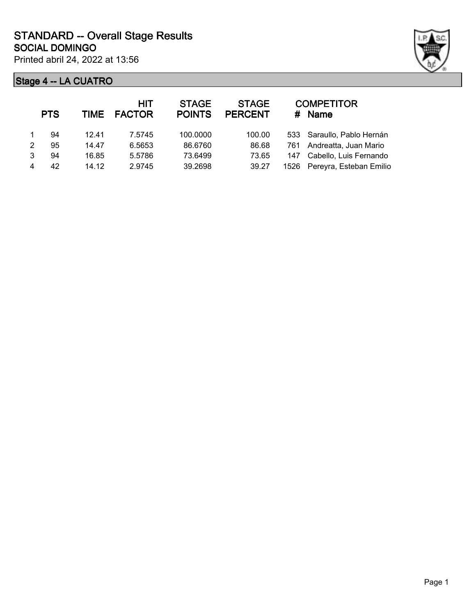

|   | <b>PTS</b> |       | <b>HIT</b><br>TIME FACTOR | <b>STAGE</b><br><b>POINTS</b> | <b>STAGE</b><br><b>PERCENT</b> |     | <b>COMPETITOR</b><br># Name  |
|---|------------|-------|---------------------------|-------------------------------|--------------------------------|-----|------------------------------|
|   | 94         | 12.41 | 7.5745                    | 100.0000                      | 100.00                         |     | 533 Saraullo, Pablo Hernán   |
| 2 | 95         | 14.47 | 6.5653                    | 86.6760                       | 86.68                          |     | 761 Andreatta, Juan Mario    |
| 3 | 94         | 16.85 | 5.5786                    | 73.6499                       | 73.65                          | 147 | Cabello, Luis Fernando       |
|   | 42         | 14.12 | 2.9745                    | 39.2698                       | 39.27                          |     | 1526 Pereyra, Esteban Emilio |
|   |            |       |                           |                               |                                |     |                              |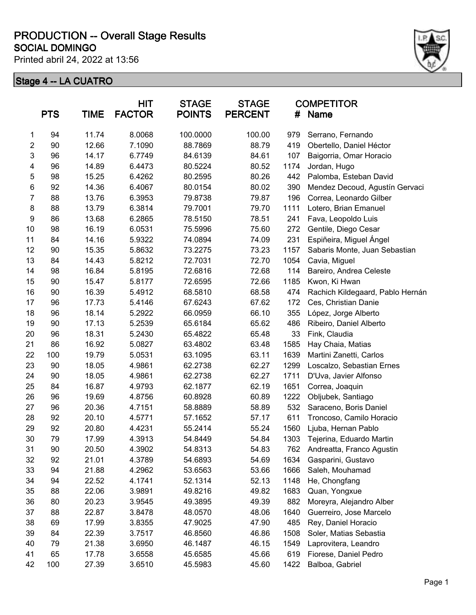Printed abril 24, 2022 at 13:56



|                | <b>PTS</b> | <b>TIME</b> | <b>HIT</b><br><b>FACTOR</b> | <b>STAGE</b><br><b>POINTS</b> | <b>STAGE</b><br><b>PERCENT</b> | #    | <b>COMPETITOR</b><br><b>Name</b> |
|----------------|------------|-------------|-----------------------------|-------------------------------|--------------------------------|------|----------------------------------|
| 1              | 94         | 11.74       | 8.0068                      | 100.0000                      | 100.00                         | 979  | Serrano, Fernando                |
| $\overline{c}$ | 90         | 12.66       | 7.1090                      | 88.7869                       | 88.79                          | 419  | Obertello, Daniel Héctor         |
| 3              | 96         | 14.17       | 6.7749                      | 84.6139                       | 84.61                          | 107  | Baigorria, Omar Horacio          |
| 4              | 96         | 14.89       | 6.4473                      | 80.5224                       | 80.52                          | 1174 | Jordan, Hugo                     |
| 5              | 98         | 15.25       | 6.4262                      | 80.2595                       | 80.26                          | 442  | Palomba, Esteban David           |
| 6              | 92         | 14.36       | 6.4067                      | 80.0154                       | 80.02                          | 390  | Mendez Decoud, Agustín Gervaci   |
| 7              | 88         | 13.76       | 6.3953                      | 79.8738                       | 79.87                          | 196  | Correa, Leonardo Gilber          |
| 8              | 88         | 13.79       | 6.3814                      | 79.7001                       | 79.70                          | 1111 | Lotero, Brian Emanuel            |
| 9              | 86         | 13.68       | 6.2865                      | 78.5150                       | 78.51                          | 241  | Fava, Leopoldo Luis              |
| 10             | 98         | 16.19       | 6.0531                      | 75.5996                       | 75.60                          | 272  | Gentile, Diego Cesar             |
| 11             | 84         | 14.16       | 5.9322                      | 74.0894                       | 74.09                          | 231  | Espiñeira, Miguel Ángel          |
| 12             | 90         | 15.35       | 5.8632                      | 73.2275                       | 73.23                          | 1157 | Sabaris Monte, Juan Sebastian    |
| 13             | 84         | 14.43       | 5.8212                      | 72.7031                       | 72.70                          | 1054 | Cavia, Miguel                    |
| 14             | 98         | 16.84       | 5.8195                      | 72.6816                       | 72.68                          | 114  | Bareiro, Andrea Celeste          |
| 15             | 90         | 15.47       | 5.8177                      | 72.6595                       | 72.66                          | 1185 | Kwon, Ki Hwan                    |
| 16             | 90         | 16.39       | 5.4912                      | 68.5810                       | 68.58                          | 474  | Rachich Kildegaard, Pablo Hernán |
| 17             | 96         | 17.73       | 5.4146                      | 67.6243                       | 67.62                          | 172  | Ces, Christian Danie             |
| 18             | 96         | 18.14       | 5.2922                      | 66.0959                       | 66.10                          | 355  | López, Jorge Alberto             |
| 19             | 90         | 17.13       | 5.2539                      | 65.6184                       | 65.62                          | 486  | Ribeiro, Daniel Alberto          |
| 20             | 96         | 18.31       | 5.2430                      | 65.4822                       | 65.48                          | 33   | Fink, Claudia                    |
| 21             | 86         | 16.92       | 5.0827                      | 63.4802                       | 63.48                          | 1585 | Hay Chaia, Matias                |
| 22             | 100        | 19.79       | 5.0531                      | 63.1095                       | 63.11                          | 1639 | Martini Zanetti, Carlos          |
| 23             | 90         | 18.05       | 4.9861                      | 62.2738                       | 62.27                          | 1299 | Loscalzo, Sebastian Ernes        |
| 24             | 90         | 18.05       | 4.9861                      | 62.2738                       | 62.27                          | 1711 | D'Uva, Javier Alfonso            |
| 25             | 84         | 16.87       | 4.9793                      | 62.1877                       | 62.19                          | 1651 | Correa, Joaquin                  |
| 26             | 96         | 19.69       | 4.8756                      | 60.8928                       | 60.89                          | 1222 | Obljubek, Santiago               |
| 27             | 96         | 20.36       | 4.7151                      | 58.8889                       | 58.89                          | 532  | Saraceno, Boris Daniel           |
| 28             | 92         | 20.10       | 4.5771                      | 57.1652                       | 57.17                          | 611  | Troncoso, Camilo Horacio         |
| 29             | 92         | 20.80       | 4.4231                      | 55.2414                       | 55.24                          | 1560 | Ljuba, Hernan Pablo              |
| 30             | 79         | 17.99       | 4.3913                      | 54.8449                       | 54.84                          | 1303 | Tejerina, Eduardo Martin         |
| 31             | 90         | 20.50       | 4.3902                      | 54.8313                       | 54.83                          | 762  | Andreatta, Franco Agustin        |
| 32             | 92         | 21.01       | 4.3789                      | 54.6893                       | 54.69                          | 1634 | Gasparini, Gustavo               |
| 33             | 94         | 21.88       | 4.2962                      | 53.6563                       | 53.66                          | 1666 | Saleh, Mouhamad                  |
| 34             | 94         | 22.52       | 4.1741                      | 52.1314                       | 52.13                          | 1148 | He, Chongfang                    |
| 35             | 88         | 22.06       | 3.9891                      | 49.8216                       | 49.82                          | 1683 | Quan, Yongxue                    |
| 36             | 80         | 20.23       | 3.9545                      | 49.3895                       | 49.39                          | 882  | Moreyra, Alejandro Alber         |
| 37             | 88         | 22.87       | 3.8478                      | 48.0570                       | 48.06                          | 1640 | Guerreiro, Jose Marcelo          |
| 38             | 69         | 17.99       | 3.8355                      | 47.9025                       | 47.90                          | 485  | Rey, Daniel Horacio              |
| 39             | 84         | 22.39       | 3.7517                      | 46.8560                       | 46.86                          | 1508 | Soler, Matias Sebastia           |
| 40             | 79         | 21.38       | 3.6950                      | 46.1487                       | 46.15                          | 1549 | Laprovitera, Leandro             |
| 41             | 65         | 17.78       | 3.6558                      | 45.6585                       | 45.66                          | 619  | Fiorese, Daniel Pedro            |
| 42             | 100        | 27.39       | 3.6510                      | 45.5983                       | 45.60                          | 1422 | Balboa, Gabriel                  |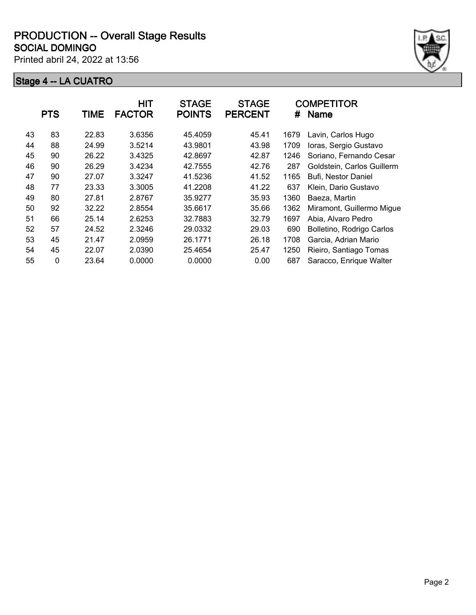Printed abril 24, 2022 at 13:56



|    | <b>PTS</b> | TIME  | <b>HIT</b><br><b>FACTOR</b> | <b>STAGE</b><br><b>POINTS</b> | <b>STAGE</b><br><b>PERCENT</b> | #    | <b>COMPETITOR</b><br><b>Name</b> |
|----|------------|-------|-----------------------------|-------------------------------|--------------------------------|------|----------------------------------|
| 43 | 83         | 22.83 | 3.6356                      | 45.4059                       | 45.41                          | 1679 | Lavin, Carlos Hugo               |
| 44 | 88         | 24.99 | 3.5214                      | 43.9801                       | 43.98                          | 1709 | Ioras, Sergio Gustavo            |
| 45 | 90         | 26.22 | 3.4325                      | 42.8697                       | 42.87                          | 1246 | Soriano, Fernando Cesar          |
| 46 | 90         | 26.29 | 3.4234                      | 42.7555                       | 42.76                          | 287  | Goldstein, Carlos Guillerm       |
| 47 | 90         | 27.07 | 3.3247                      | 41.5236                       | 41.52                          | 1165 | Bufi, Nestor Daniel              |
| 48 | 77         | 23.33 | 3.3005                      | 41.2208                       | 41.22                          | 637  | Klein, Dario Gustavo             |
| 49 | 80         | 27.81 | 2.8767                      | 35.9277                       | 35.93                          | 1360 | Baeza, Martin                    |
| 50 | 92         | 32.22 | 2.8554                      | 35.6617                       | 35.66                          | 1362 | Miramont, Guillermo Migue        |
| 51 | 66         | 25.14 | 2.6253                      | 32.7883                       | 32.79                          | 1697 | Abia, Alvaro Pedro               |
| 52 | 57         | 24.52 | 2.3246                      | 29.0332                       | 29.03                          | 690  | Bolletino, Rodrigo Carlos        |
| 53 | 45         | 21.47 | 2.0959                      | 26.1771                       | 26.18                          | 1708 | Garcia, Adrian Mario             |
| 54 | 45         | 22.07 | 2.0390                      | 25.4654                       | 25.47                          | 1250 | Rieiro, Santiago Tomas           |
| 55 | 0          | 23.64 | 0.0000                      | 0.0000                        | 0.00                           | 687  | Saracco, Enrique Walter          |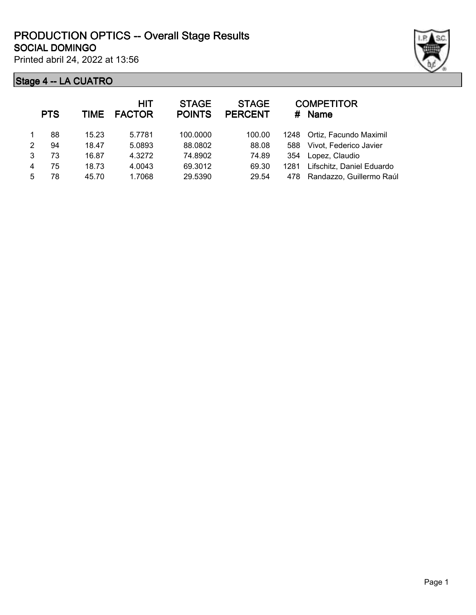Printed abril 24, 2022 at 13:56

|                | <b>PTS</b> | <b>TIME</b> | <b>HIT</b><br><b>FACTOR</b> | <b>STAGE</b><br><b>POINTS</b> | <b>STAGE</b><br><b>PERCENT</b> | #    | <b>COMPETITOR</b><br><b>Name</b> |
|----------------|------------|-------------|-----------------------------|-------------------------------|--------------------------------|------|----------------------------------|
|                | 88         | 15.23       | 5.7781                      | 100,0000                      | 100.00                         |      | 1248 Ortiz, Facundo Maximil      |
| $\mathfrak{p}$ | 94         | 18.47       | 5.0893                      | 88.0802                       | 88.08                          | 588  | Vivot, Federico Javier           |
| 3              | 73         | 16.87       | 4.3272                      | 74.8902                       | 74.89                          | 354  | Lopez, Claudio                   |
| 4              | 75         | 18.73       | 4.0043                      | 69.3012                       | 69.30                          | 1281 | Lifschitz, Daniel Eduardo        |
| 5              | 78         | 45.70       | 1.7068                      | 29.5390                       | 29.54                          | 478  | Randazzo, Guillermo Raúl         |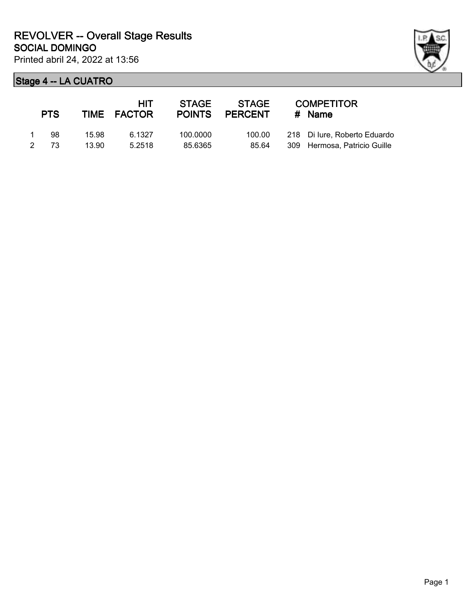|   | <b>PTS</b> |       | HIT<br>TIME FACTOR | <b>STAGE</b> | STAGE<br>POINTS PERCENT | <b>COMPETITOR</b><br>$#$ Name |
|---|------------|-------|--------------------|--------------|-------------------------|-------------------------------|
|   | 98.        | 15.98 | 6.1327             | 100.0000     | 100.00                  | 218 Di lure, Roberto Eduardo  |
| 2 | -73        | 13.90 | 5.2518             | 85.6365      | 85.64                   | 309 Hermosa, Patricio Guille  |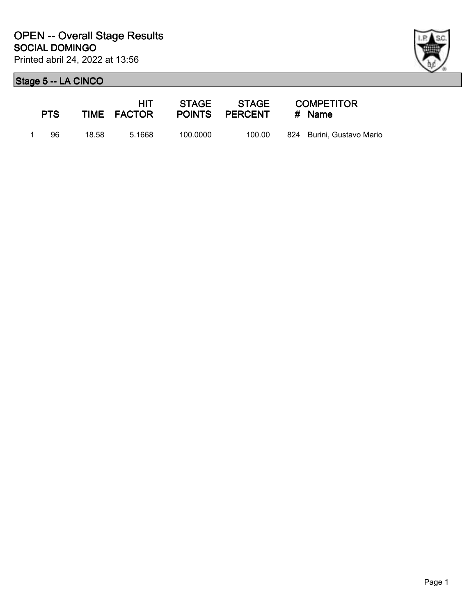

|                | <b>PTS</b> |       | HIT.<br>TIME FACTOR |          | POINTS PERCENT | <b>COMPETITOR</b><br># Name |
|----------------|------------|-------|---------------------|----------|----------------|-----------------------------|
| $\blacksquare$ | 96.        | 18.58 | 5.1668              | 100.0000 | 100.00         | 824 Burini. Gustavo Mario   |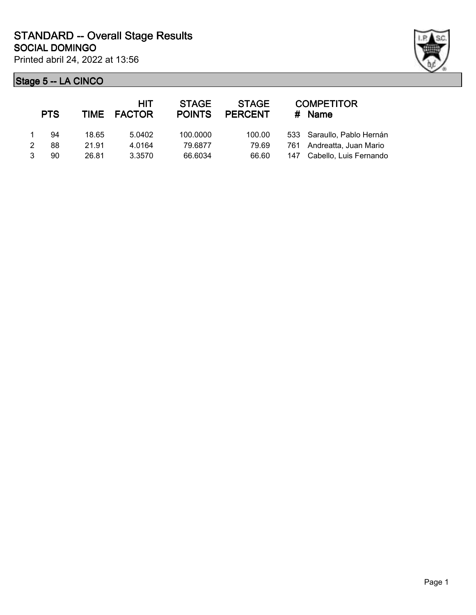

|               | <b>PTS</b> |       | HIT<br>TIME FACTOR | <b>STAGE</b><br><b>POINTS</b> | <b>STAGE</b><br><b>PERCENT</b> |     | <b>COMPETITOR</b><br>$#$ Name |
|---------------|------------|-------|--------------------|-------------------------------|--------------------------------|-----|-------------------------------|
|               | 94         | 18.65 | 5.0402             | 100.0000                      | 100.00                         |     | 533 Saraullo, Pablo Hernán    |
| $\mathcal{P}$ | 88         | 21.91 | 4.0164             | 79.6877                       | 79.69                          |     | 761 Andreatta, Juan Mario     |
|               | 90         | 26.81 | 3.3570             | 66.6034                       | 66.60                          | 147 | Cabello, Luis Fernando        |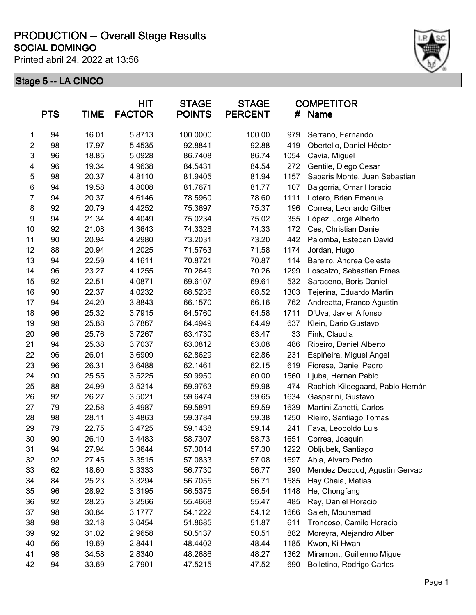Printed abril 24, 2022 at 13:56



|                | <b>PTS</b> | <b>TIME</b> | <b>HIT</b><br><b>FACTOR</b> | <b>STAGE</b><br><b>POINTS</b> | <b>STAGE</b><br><b>PERCENT</b> | #    | <b>COMPETITOR</b><br><b>Name</b> |
|----------------|------------|-------------|-----------------------------|-------------------------------|--------------------------------|------|----------------------------------|
| 1              | 94         | 16.01       | 5.8713                      | 100.0000                      | 100.00                         | 979  | Serrano, Fernando                |
| $\overline{2}$ | 98         | 17.97       | 5.4535                      | 92.8841                       | 92.88                          | 419  | Obertello, Daniel Héctor         |
| 3              | 96         | 18.85       | 5.0928                      | 86.7408                       | 86.74                          | 1054 | Cavia, Miguel                    |
| 4              | 96         | 19.34       | 4.9638                      | 84.5431                       | 84.54                          | 272  | Gentile, Diego Cesar             |
| 5              | 98         | 20.37       | 4.8110                      | 81.9405                       | 81.94                          | 1157 | Sabaris Monte, Juan Sebastian    |
| 6              | 94         | 19.58       | 4.8008                      | 81.7671                       | 81.77                          | 107  | Baigorria, Omar Horacio          |
| 7              | 94         | 20.37       | 4.6146                      | 78.5960                       | 78.60                          | 1111 | Lotero, Brian Emanuel            |
| 8              | 92         | 20.79       | 4.4252                      | 75.3697                       | 75.37                          | 196  | Correa, Leonardo Gilber          |
| 9              | 94         | 21.34       | 4.4049                      | 75.0234                       | 75.02                          | 355  | López, Jorge Alberto             |
| 10             | 92         | 21.08       | 4.3643                      | 74.3328                       | 74.33                          | 172  | Ces, Christian Danie             |
| 11             | 90         | 20.94       | 4.2980                      | 73.2031                       | 73.20                          | 442  | Palomba, Esteban David           |
| 12             | 88         | 20.94       | 4.2025                      | 71.5763                       | 71.58                          | 1174 | Jordan, Hugo                     |
| 13             | 94         | 22.59       | 4.1611                      | 70.8721                       | 70.87                          | 114  | Bareiro, Andrea Celeste          |
| 14             | 96         | 23.27       | 4.1255                      | 70.2649                       | 70.26                          | 1299 | Loscalzo, Sebastian Ernes        |
| 15             | 92         | 22.51       | 4.0871                      | 69.6107                       | 69.61                          | 532  | Saraceno, Boris Daniel           |
| 16             | 90         | 22.37       | 4.0232                      | 68.5236                       | 68.52                          | 1303 | Tejerina, Eduardo Martin         |
| 17             | 94         | 24.20       | 3.8843                      | 66.1570                       | 66.16                          | 762  | Andreatta, Franco Agustin        |
| 18             | 96         | 25.32       | 3.7915                      | 64.5760                       | 64.58                          | 1711 | D'Uva, Javier Alfonso            |
| 19             | 98         | 25.88       | 3.7867                      | 64.4949                       | 64.49                          | 637  | Klein, Dario Gustavo             |
| 20             | 96         | 25.76       | 3.7267                      | 63.4730                       | 63.47                          | 33   | Fink, Claudia                    |
| 21             | 94         | 25.38       | 3.7037                      | 63.0812                       | 63.08                          | 486  | Ribeiro, Daniel Alberto          |
| 22             | 96         | 26.01       | 3.6909                      | 62.8629                       | 62.86                          | 231  | Espiñeira, Miguel Ángel          |
| 23             | 96         | 26.31       | 3.6488                      | 62.1461                       | 62.15                          | 619  | Fiorese, Daniel Pedro            |
| 24             | 90         | 25.55       | 3.5225                      | 59.9950                       | 60.00                          | 1560 | Ljuba, Hernan Pablo              |
| 25             | 88         | 24.99       | 3.5214                      | 59.9763                       | 59.98                          | 474  | Rachich Kildegaard, Pablo Hernán |
| 26             | 92         | 26.27       | 3.5021                      | 59.6474                       | 59.65                          | 1634 | Gasparini, Gustavo               |
| 27             | 79         | 22.58       | 3.4987                      | 59.5891                       | 59.59                          | 1639 | Martini Zanetti, Carlos          |
| 28             | 98         | 28.11       | 3.4863                      | 59.3784                       | 59.38                          | 1250 | Rieiro, Santiago Tomas           |
| 29             | 79         | 22.75       | 3.4725                      | 59.1438                       | 59.14                          | 241  | Fava, Leopoldo Luis              |
| 30             | 90         | 26.10       | 3.4483                      | 58.7307                       | 58.73                          | 1651 | Correa, Joaquin                  |
| 31             | 94         | 27.94       | 3.3644                      | 57.3014                       | 57.30                          | 1222 | Obljubek, Santiago               |
| 32             | 92         | 27.45       | 3.3515                      | 57.0833                       | 57.08                          | 1697 | Abia, Alvaro Pedro               |
| 33             | 62         | 18.60       | 3.3333                      | 56.7730                       | 56.77                          | 390  | Mendez Decoud, Agustín Gervaci   |
| 34             | 84         | 25.23       | 3.3294                      | 56.7055                       | 56.71                          | 1585 | Hay Chaia, Matias                |
| 35             | 96         | 28.92       | 3.3195                      | 56.5375                       | 56.54                          | 1148 | He, Chongfang                    |
| 36             | 92         | 28.25       | 3.2566                      | 55.4668                       | 55.47                          | 485  | Rey, Daniel Horacio              |
| 37             | 98         | 30.84       | 3.1777                      | 54.1222                       | 54.12                          | 1666 | Saleh, Mouhamad                  |
| 38             | 98         | 32.18       | 3.0454                      | 51.8685                       | 51.87                          | 611  | Troncoso, Camilo Horacio         |
| 39             | 92         | 31.02       | 2.9658                      | 50.5137                       | 50.51                          | 882  | Moreyra, Alejandro Alber         |
| 40             | 56         | 19.69       | 2.8441                      | 48.4402                       | 48.44                          | 1185 | Kwon, Ki Hwan                    |
| 41             | 98         | 34.58       | 2.8340                      | 48.2686                       | 48.27                          | 1362 | Miramont, Guillermo Migue        |
| 42             | 94         | 33.69       | 2.7901                      | 47.5215                       | 47.52                          | 690  | Bolletino, Rodrigo Carlos        |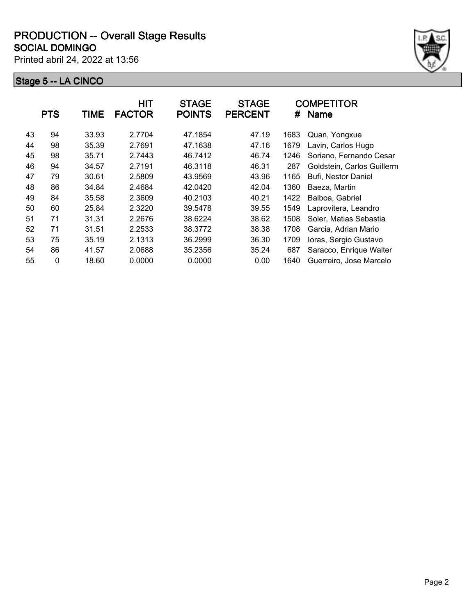Printed abril 24, 2022 at 13:56



|    | <b>PTS</b>  | TIME  | <b>HIT</b><br><b>FACTOR</b> | <b>STAGE</b><br><b>POINTS</b> | <b>STAGE</b><br><b>PERCENT</b> | #    | <b>COMPETITOR</b><br><b>Name</b> |
|----|-------------|-------|-----------------------------|-------------------------------|--------------------------------|------|----------------------------------|
| 43 | 94          | 33.93 | 2.7704                      | 47.1854                       | 47.19                          | 1683 | Quan, Yongxue                    |
| 44 | 98          | 35.39 | 2.7691                      | 47.1638                       | 47.16                          | 1679 | Lavin, Carlos Hugo               |
| 45 | 98          | 35.71 | 2.7443                      | 46.7412                       | 46.74                          | 1246 | Soriano, Fernando Cesar          |
| 46 | 94          | 34.57 | 2.7191                      | 46.3118                       | 46.31                          | 287  | Goldstein, Carlos Guillerm       |
| 47 | 79          | 30.61 | 2.5809                      | 43.9569                       | 43.96                          | 1165 | Bufi, Nestor Daniel              |
| 48 | 86          | 34.84 | 2.4684                      | 42.0420                       | 42.04                          | 1360 | Baeza, Martin                    |
| 49 | 84          | 35.58 | 2.3609                      | 40.2103                       | 40.21                          | 1422 | Balboa, Gabriel                  |
| 50 | 60          | 25.84 | 2.3220                      | 39.5478                       | 39.55                          | 1549 | Laprovitera, Leandro             |
| 51 | 71          | 31.31 | 2.2676                      | 38.6224                       | 38.62                          | 1508 | Soler, Matias Sebastia           |
| 52 | 71          | 31.51 | 2.2533                      | 38.3772                       | 38.38                          | 1708 | Garcia, Adrian Mario             |
| 53 | 75          | 35.19 | 2.1313                      | 36.2999                       | 36.30                          | 1709 | Ioras, Sergio Gustavo            |
| 54 | 86          | 41.57 | 2.0688                      | 35.2356                       | 35.24                          | 687  | Saracco, Enrique Walter          |
| 55 | $\mathbf 0$ | 18.60 | 0.0000                      | 0.0000                        | 0.00                           | 1640 | Guerreiro, Jose Marcelo          |
|    |             |       |                             |                               |                                |      |                                  |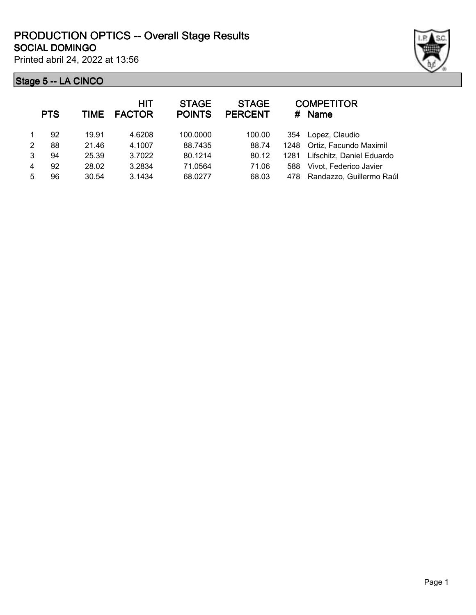Printed abril 24, 2022 at 13:56



|               | <b>PTS</b> | TIME  | <b>HIT</b><br><b>FACTOR</b> | <b>STAGE</b><br><b>POINTS</b> | <b>STAGE</b><br><b>PERCENT</b> | #    | <b>COMPETITOR</b><br><b>Name</b> |
|---------------|------------|-------|-----------------------------|-------------------------------|--------------------------------|------|----------------------------------|
|               | 92         | 19.91 | 4.6208                      | 100.0000                      | 100.00                         | 354  | Lopez, Claudio                   |
| $\mathcal{P}$ | 88         | 21.46 | 4.1007                      | 88.7435                       | 88.74                          |      | 1248 Ortiz, Facundo Maximil      |
| 3             | 94         | 25.39 | 3.7022                      | 80.1214                       | 80.12                          | 1281 | Lifschitz, Daniel Eduardo        |
| 4             | 92         | 28.02 | 3.2834                      | 71.0564                       | 71.06                          | 588  | Vivot, Federico Javier           |
| 5             | 96         | 30.54 | 3.1434                      | 68.0277                       | 68.03                          | 478  | Randazzo, Guillermo Raúl         |
|               |            |       |                             |                               |                                |      |                                  |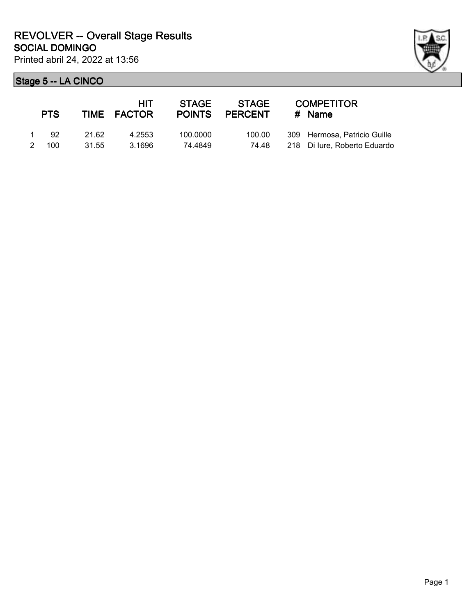| ł |  |
|---|--|

| <b>PTS</b> |       | HIT.<br>TIME FACTOR | <b>STAGE</b><br><b>POINTS</b> | <b>STAGE</b><br>PERCENT | <b>COMPETITOR</b><br># Name  |
|------------|-------|---------------------|-------------------------------|-------------------------|------------------------------|
| -92        | 21.62 | 4.2553              | 100.0000                      | 100.00                  | 309 Hermosa, Patricio Guille |
| 100        | 31.55 | 3.1696              | 74.4849                       | 74.48                   | 218 Di lure, Roberto Eduardo |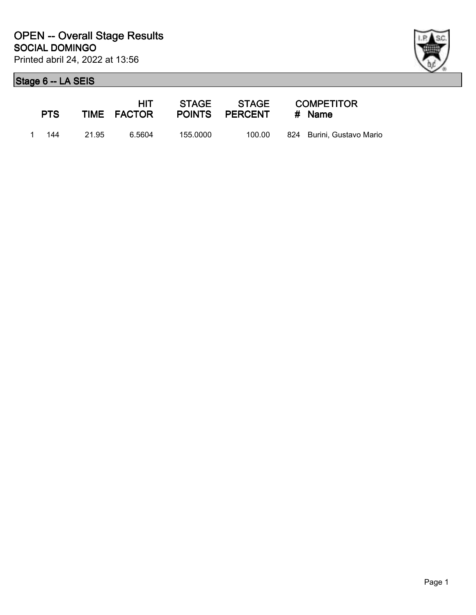

| <b>PTS</b> |       | HIT.<br>TIME FACTOR |          | STAGE STAGE<br>POINTS PERCENT | <b>COMPETITOR</b><br># Name |
|------------|-------|---------------------|----------|-------------------------------|-----------------------------|
| 1 144      | 21.95 | 6.5604              | 155.0000 | 100.00                        | 824 Burini, Gustavo Mario   |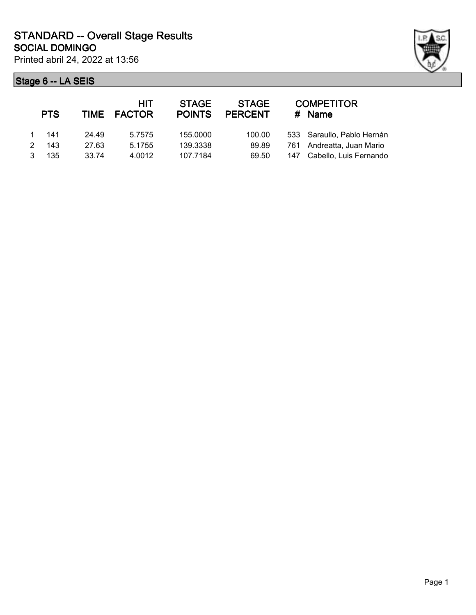

|   | <b>PTS</b> |       | HIT<br>TIME FACTOR | <b>STAGE</b><br><b>POINTS</b> | <b>STAGE</b><br><b>PERCENT</b> | <b>COMPETITOR</b><br># Name |
|---|------------|-------|--------------------|-------------------------------|--------------------------------|-----------------------------|
|   | - 141      | 24.49 | 5.7575             | 155,0000                      | 100.00                         | 533 Saraullo, Pablo Hernán  |
| 2 | 143        | 27.63 | 5.1755             | 139.3338                      | 89.89                          | 761 Andreatta, Juan Mario   |
| 3 | 135        | 33.74 | 4.0012             | 107.7184                      | 69.50                          | 147 Cabello, Luis Fernando  |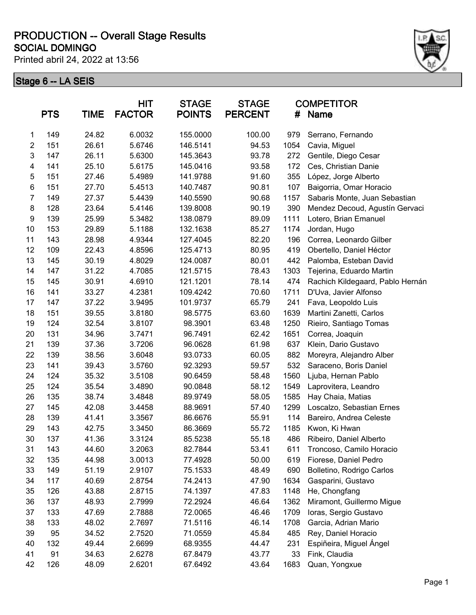Printed abril 24, 2022 at 13:56



|                | <b>PTS</b> | <b>TIME</b> | <b>HIT</b><br><b>FACTOR</b> | <b>STAGE</b><br><b>POINTS</b> | <b>STAGE</b><br><b>PERCENT</b> | <b>COMPETITOR</b><br>#<br><b>Name</b> |                                  |
|----------------|------------|-------------|-----------------------------|-------------------------------|--------------------------------|---------------------------------------|----------------------------------|
| 1              | 149        | 24.82       | 6.0032                      | 155.0000                      | 100.00                         | 979                                   | Serrano, Fernando                |
| $\overline{2}$ | 151        | 26.61       | 5.6746                      | 146.5141                      | 94.53                          | 1054                                  | Cavia, Miguel                    |
| 3              | 147        | 26.11       | 5.6300                      | 145.3643                      | 93.78                          | 272                                   | Gentile, Diego Cesar             |
| 4              | 141        | 25.10       | 5.6175                      | 145.0416                      | 93.58                          | 172                                   | Ces, Christian Danie             |
| 5              | 151        | 27.46       | 5.4989                      | 141.9788                      | 91.60                          | 355                                   | López, Jorge Alberto             |
| 6              | 151        | 27.70       | 5.4513                      | 140.7487                      | 90.81                          | 107                                   | Baigorria, Omar Horacio          |
| $\overline{7}$ | 149        | 27.37       | 5.4439                      | 140.5590                      | 90.68                          | 1157                                  | Sabaris Monte, Juan Sebastian    |
| 8              | 128        | 23.64       | 5.4146                      | 139.8008                      | 90.19                          | 390                                   | Mendez Decoud, Agustín Gervaci   |
| 9              | 139        | 25.99       | 5.3482                      | 138.0879                      | 89.09                          | 1111                                  | Lotero, Brian Emanuel            |
| 10             | 153        | 29.89       | 5.1188                      | 132.1638                      | 85.27                          | 1174                                  | Jordan, Hugo                     |
| 11             | 143        | 28.98       | 4.9344                      | 127.4045                      | 82.20                          | 196                                   | Correa, Leonardo Gilber          |
| 12             | 109        | 22.43       | 4.8596                      | 125.4713                      | 80.95                          | 419                                   | Obertello, Daniel Héctor         |
| 13             | 145        | 30.19       | 4.8029                      | 124.0087                      | 80.01                          | 442                                   | Palomba, Esteban David           |
| 14             | 147        | 31.22       | 4.7085                      | 121.5715                      | 78.43                          | 1303                                  | Tejerina, Eduardo Martin         |
| 15             | 145        | 30.91       | 4.6910                      | 121.1201                      | 78.14                          | 474                                   | Rachich Kildegaard, Pablo Hernán |
| 16             | 141        | 33.27       | 4.2381                      | 109.4242                      | 70.60                          | 1711                                  | D'Uva, Javier Alfonso            |
| 17             | 147        | 37.22       | 3.9495                      | 101.9737                      | 65.79                          | 241                                   | Fava, Leopoldo Luis              |
| 18             | 151        | 39.55       | 3.8180                      | 98.5775                       | 63.60                          | 1639                                  | Martini Zanetti, Carlos          |
| 19             | 124        | 32.54       | 3.8107                      | 98.3901                       | 63.48                          | 1250                                  | Rieiro, Santiago Tomas           |
| 20             | 131        | 34.96       | 3.7471                      | 96.7491                       | 62.42                          | 1651                                  | Correa, Joaquin                  |
| 21             | 139        | 37.36       | 3.7206                      | 96.0628                       | 61.98                          | 637                                   | Klein, Dario Gustavo             |
| 22             | 139        | 38.56       | 3.6048                      | 93.0733                       | 60.05                          | 882                                   | Moreyra, Alejandro Alber         |
| 23             | 141        | 39.43       | 3.5760                      | 92.3293                       | 59.57                          | 532                                   | Saraceno, Boris Daniel           |
| 24             | 124        | 35.32       | 3.5108                      | 90.6459                       | 58.48                          | 1560                                  | Ljuba, Hernan Pablo              |
| 25             | 124        | 35.54       | 3.4890                      | 90.0848                       | 58.12                          | 1549                                  | Laprovitera, Leandro             |
| 26             | 135        | 38.74       | 3.4848                      | 89.9749                       | 58.05                          | 1585                                  | Hay Chaia, Matias                |
| 27             | 145        | 42.08       | 3.4458                      | 88.9691                       | 57.40                          | 1299                                  | Loscalzo, Sebastian Ernes        |
| 28             | 139        | 41.41       | 3.3567                      | 86.6676                       | 55.91                          | 114                                   | Bareiro, Andrea Celeste          |
| 29             | 143        | 42.75       | 3.3450                      | 86.3669                       | 55.72                          | 1185                                  | Kwon, Ki Hwan                    |
| 30             | 137        | 41.36       | 3.3124                      | 85.5238                       | 55.18                          | 486                                   | Ribeiro, Daniel Alberto          |
| 31             | 143        | 44.60       | 3.2063                      | 82.7844                       | 53.41                          | 611                                   | Troncoso, Camilo Horacio         |
| 32             | 135        | 44.98       | 3.0013                      | 77.4928                       | 50.00                          | 619                                   | Fiorese, Daniel Pedro            |
| 33             | 149        | 51.19       | 2.9107                      | 75.1533                       | 48.49                          | 690                                   | Bolletino, Rodrigo Carlos        |
| 34             | 117        | 40.69       | 2.8754                      | 74.2413                       | 47.90                          | 1634                                  | Gasparini, Gustavo               |
| 35             | 126        | 43.88       | 2.8715                      | 74.1397                       | 47.83                          | 1148                                  | He, Chongfang                    |
| 36             | 137        | 48.93       | 2.7999                      | 72.2924                       | 46.64                          | 1362                                  | Miramont, Guillermo Migue        |
| 37             | 133        | 47.69       | 2.7888                      | 72.0065                       | 46.46                          | 1709                                  | Ioras, Sergio Gustavo            |
| 38             | 133        | 48.02       | 2.7697                      | 71.5116                       | 46.14                          | 1708                                  | Garcia, Adrian Mario             |
| 39             | 95         | 34.52       | 2.7520                      | 71.0559                       | 45.84                          | 485                                   | Rey, Daniel Horacio              |
| 40             | 132        | 49.44       | 2.6699                      | 68.9355                       | 44.47                          | 231                                   | Espiñeira, Miguel Ángel          |
| 41             | 91         | 34.63       | 2.6278                      | 67.8479                       | 43.77                          | 33                                    | Fink, Claudia                    |
| 42             | 126        | 48.09       | 2.6201                      | 67.6492                       | 43.64                          | 1683                                  | Quan, Yongxue                    |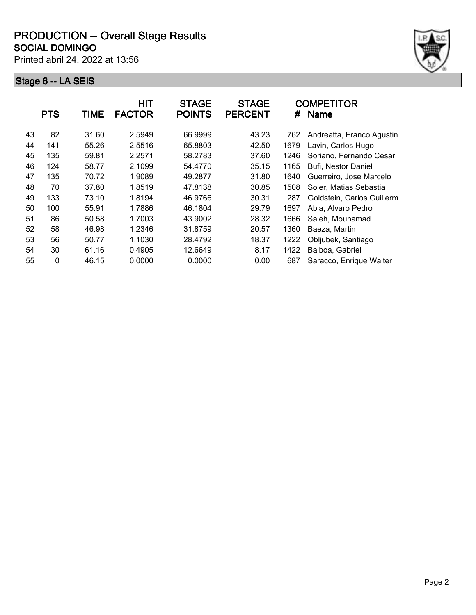Printed abril 24, 2022 at 13:56



|    | <b>PTS</b>   | TIME  | <b>HIT</b><br><b>FACTOR</b> | <b>STAGE</b><br><b>POINTS</b> | <b>STAGE</b><br><b>PERCENT</b> | #    | <b>COMPETITOR</b><br><b>Name</b> |
|----|--------------|-------|-----------------------------|-------------------------------|--------------------------------|------|----------------------------------|
| 43 | 82           | 31.60 | 2.5949                      | 66.9999                       | 43.23                          | 762  | Andreatta, Franco Agustin        |
| 44 | 141          | 55.26 | 2.5516                      | 65.8803                       | 42.50                          | 1679 | Lavin, Carlos Hugo               |
| 45 | 135          | 59.81 | 2.2571                      | 58.2783                       | 37.60                          | 1246 | Soriano, Fernando Cesar          |
| 46 | 124          | 58.77 | 2.1099                      | 54.4770                       | 35.15                          | 1165 | Bufi, Nestor Daniel              |
| 47 | 135          | 70.72 | 1.9089                      | 49.2877                       | 31.80                          | 1640 | Guerreiro, Jose Marcelo          |
| 48 | 70           | 37.80 | 1.8519                      | 47.8138                       | 30.85                          | 1508 | Soler, Matias Sebastia           |
| 49 | 133          | 73.10 | 1.8194                      | 46.9766                       | 30.31                          | 287  | Goldstein, Carlos Guillerm       |
| 50 | 100          | 55.91 | 1.7886                      | 46.1804                       | 29.79                          | 1697 | Abia, Alvaro Pedro               |
| 51 | 86           | 50.58 | 1.7003                      | 43.9002                       | 28.32                          | 1666 | Saleh, Mouhamad                  |
| 52 | 58           | 46.98 | 1.2346                      | 31.8759                       | 20.57                          | 1360 | Baeza, Martin                    |
| 53 | 56           | 50.77 | 1.1030                      | 28.4792                       | 18.37                          | 1222 | Obljubek, Santiago               |
| 54 | 30           | 61.16 | 0.4905                      | 12.6649                       | 8.17                           | 1422 | Balboa, Gabriel                  |
| 55 | $\mathbf{0}$ | 46.15 | 0.0000                      | 0.0000                        | 0.00                           | 687  | Saracco, Enrique Walter          |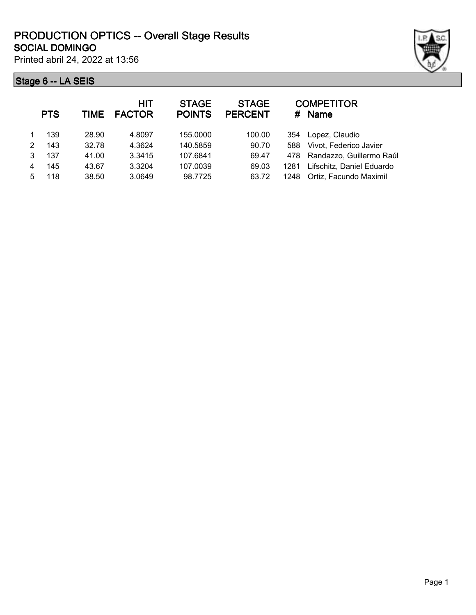Printed abril 24, 2022 at 13:56

|   | <b>PTS</b> | TIME  | HIT<br><b>FACTOR</b> | <b>STAGE</b><br><b>POINTS</b> | <b>STAGE</b><br><b>PERCENT</b> |      | <b>COMPETITOR</b><br># Name  |
|---|------------|-------|----------------------|-------------------------------|--------------------------------|------|------------------------------|
|   | 139        | 28.90 | 4.8097               | 155,0000                      | 100.00                         |      | 354 Lopez, Claudio           |
| 2 | 143        | 32.78 | 4.3624               | 140.5859                      | 90.70                          | 588  | Vivot, Federico Javier       |
| 3 | 137        | 41.00 | 3.3415               | 107.6841                      | 69.47                          |      | 478 Randazzo, Guillermo Raúl |
| 4 | 145        | 43.67 | 3.3204               | 107.0039                      | 69.03                          | 1281 | Lifschitz, Daniel Eduardo    |
| 5 | 118        | 38.50 | 3.0649               | 98.7725                       | 63.72                          | 1248 | Ortiz, Facundo Maximil       |
|   |            |       |                      |                               |                                |      |                              |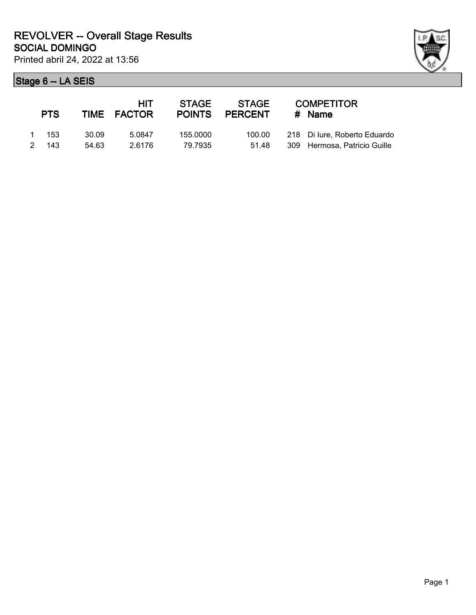| <b>PTS</b>     |                | HIT.<br>TIME FACTOR | <b>STAGE</b><br><b>POINTS</b> | STAGE<br>PERCENT | <b>COMPETITOR</b><br># Name                                  |
|----------------|----------------|---------------------|-------------------------------|------------------|--------------------------------------------------------------|
| 1 153<br>2 143 | 30.09<br>54.63 | 5.0847<br>2.6176    | 155.0000<br>79.7935           | 100.00<br>51.48  | 218 Di lure, Roberto Eduardo<br>309 Hermosa, Patricio Guille |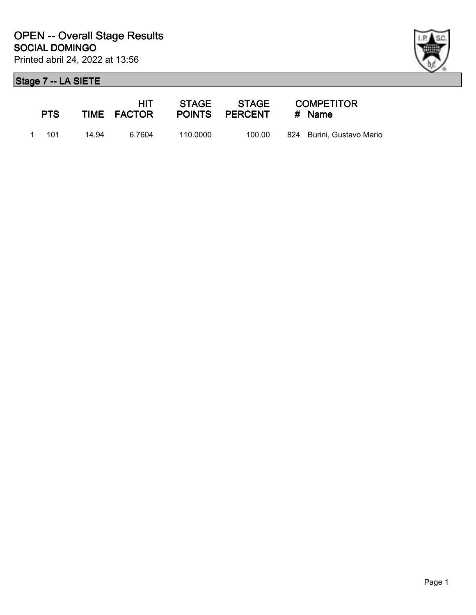

| <b>PTS</b> |       | <b>HIT</b><br>TIME FACTOR |          | POINTS PERCENT | <b>COMPETITOR</b><br># Name |
|------------|-------|---------------------------|----------|----------------|-----------------------------|
| 1 101      | 14.94 | 6.7604                    | 110.0000 | 100.00         | 824 Burini, Gustavo Mario   |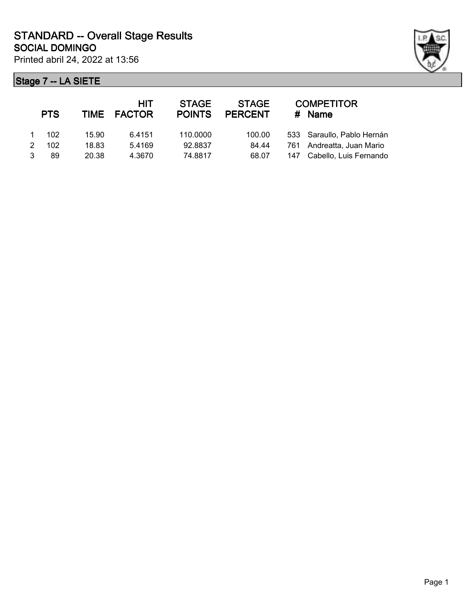

|               | <b>PTS</b> |       | <b>HIT</b><br>TIME FACTOR | <b>STAGE</b><br><b>POINTS</b> | <b>STAGE</b><br><b>PERCENT</b> | <b>COMPETITOR</b><br># Name |
|---------------|------------|-------|---------------------------|-------------------------------|--------------------------------|-----------------------------|
|               | 102        | 15.90 | 6.4151                    | 110,0000                      | 100.00                         | 533 Saraullo, Pablo Hernán  |
| $\mathcal{P}$ | 102        | 18.83 | 5.4169                    | 92.8837                       | 84.44                          | 761 Andreatta, Juan Mario   |
|               | 89         | 20.38 | 4.3670                    | 74.8817                       | 68.07                          | 147 Cabello, Luis Fernando  |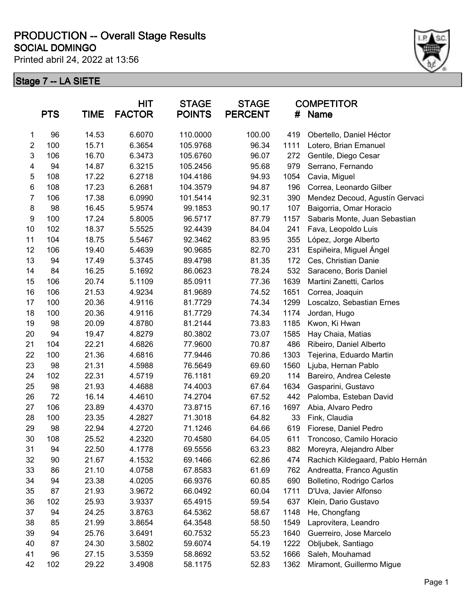Printed abril 24, 2022 at 13:56



|                | <b>PTS</b> | TIME  | <b>HIT</b><br><b>FACTOR</b> | <b>STAGE</b><br><b>POINTS</b> | <b>STAGE</b><br><b>PERCENT</b> | #    | <b>COMPETITOR</b><br>Name        |
|----------------|------------|-------|-----------------------------|-------------------------------|--------------------------------|------|----------------------------------|
| 1              | 96         | 14.53 | 6.6070                      | 110.0000                      | 100.00                         | 419  | Obertello, Daniel Héctor         |
| $\overline{c}$ | 100        | 15.71 | 6.3654                      | 105.9768                      | 96.34                          | 1111 | Lotero, Brian Emanuel            |
| 3              | 106        | 16.70 | 6.3473                      | 105.6760                      | 96.07                          | 272  | Gentile, Diego Cesar             |
| 4              | 94         | 14.87 | 6.3215                      | 105.2456                      | 95.68                          | 979  | Serrano, Fernando                |
| 5              | 108        | 17.22 | 6.2718                      | 104.4186                      | 94.93                          | 1054 | Cavia, Miguel                    |
| 6              | 108        | 17.23 | 6.2681                      | 104.3579                      | 94.87                          | 196  | Correa, Leonardo Gilber          |
| $\overline{7}$ | 106        | 17.38 | 6.0990                      | 101.5414                      | 92.31                          | 390  | Mendez Decoud, Agustín Gervaci   |
| 8              | 98         | 16.45 | 5.9574                      | 99.1853                       | 90.17                          | 107  | Baigorria, Omar Horacio          |
| 9              | 100        | 17.24 | 5.8005                      | 96.5717                       | 87.79                          | 1157 | Sabaris Monte, Juan Sebastian    |
| 10             | 102        | 18.37 | 5.5525                      | 92.4439                       | 84.04                          | 241  | Fava, Leopoldo Luis              |
| 11             | 104        | 18.75 | 5.5467                      | 92.3462                       | 83.95                          | 355  | López, Jorge Alberto             |
| 12             | 106        | 19.40 | 5.4639                      | 90.9685                       | 82.70                          | 231  | Espiñeira, Miguel Ángel          |
| 13             | 94         | 17.49 | 5.3745                      | 89.4798                       | 81.35                          | 172  | Ces, Christian Danie             |
| 14             | 84         | 16.25 | 5.1692                      | 86.0623                       | 78.24                          | 532  | Saraceno, Boris Daniel           |
| 15             | 106        | 20.74 | 5.1109                      | 85.0911                       | 77.36                          | 1639 | Martini Zanetti, Carlos          |
| 16             | 106        | 21.53 | 4.9234                      | 81.9689                       | 74.52                          | 1651 | Correa, Joaquin                  |
| 17             | 100        | 20.36 | 4.9116                      | 81.7729                       | 74.34                          | 1299 | Loscalzo, Sebastian Ernes        |
| 18             | 100        | 20.36 | 4.9116                      | 81.7729                       | 74.34                          | 1174 | Jordan, Hugo                     |
| 19             | 98         | 20.09 | 4.8780                      | 81.2144                       | 73.83                          | 1185 | Kwon, Ki Hwan                    |
| 20             | 94         | 19.47 | 4.8279                      | 80.3802                       | 73.07                          | 1585 | Hay Chaia, Matias                |
| 21             | 104        | 22.21 | 4.6826                      | 77.9600                       | 70.87                          | 486  | Ribeiro, Daniel Alberto          |
| 22             | 100        | 21.36 | 4.6816                      | 77.9446                       | 70.86                          | 1303 | Tejerina, Eduardo Martin         |
| 23             | 98         | 21.31 | 4.5988                      | 76.5649                       | 69.60                          | 1560 | Ljuba, Hernan Pablo              |
| 24             | 102        | 22.31 | 4.5719                      | 76.1181                       | 69.20                          | 114  | Bareiro, Andrea Celeste          |
| 25             | 98         | 21.93 | 4.4688                      | 74.4003                       | 67.64                          | 1634 | Gasparini, Gustavo               |
| 26             | 72         | 16.14 | 4.4610                      | 74.2704                       | 67.52                          | 442  | Palomba, Esteban David           |
| 27             | 106        | 23.89 | 4.4370                      | 73.8715                       | 67.16                          | 1697 | Abia, Alvaro Pedro               |
| 28             | 100        | 23.35 | 4.2827                      | 71.3018                       | 64.82                          | 33   | Fink, Claudia                    |
| 29             | 98         | 22.94 | 4.2720                      | 71.1246                       | 64.66                          | 619  | Fiorese, Daniel Pedro            |
| 30             | 108        | 25.52 | 4.2320                      | 70.4580                       | 64.05                          | 611  | Troncoso, Camilo Horacio         |
| 31             | 94         | 22.50 | 4.1778                      | 69.5556                       | 63.23                          | 882  | Moreyra, Alejandro Alber         |
| 32             | 90         | 21.67 | 4.1532                      | 69.1466                       | 62.86                          | 474  | Rachich Kildegaard, Pablo Hernán |
| 33             | 86         | 21.10 | 4.0758                      | 67.8583                       | 61.69                          | 762  | Andreatta, Franco Agustin        |
| 34             | 94         | 23.38 | 4.0205                      | 66.9376                       | 60.85                          | 690  | Bolletino, Rodrigo Carlos        |
| 35             | 87         | 21.93 | 3.9672                      | 66.0492                       | 60.04                          | 1711 | D'Uva, Javier Alfonso            |
| 36             | 102        | 25.93 | 3.9337                      | 65.4915                       | 59.54                          | 637  | Klein, Dario Gustavo             |
| 37             | 94         | 24.25 | 3.8763                      | 64.5362                       | 58.67                          | 1148 | He, Chongfang                    |
| 38             | 85         | 21.99 | 3.8654                      | 64.3548                       | 58.50                          | 1549 | Laprovitera, Leandro             |
| 39             | 94         | 25.76 | 3.6491                      | 60.7532                       | 55.23                          | 1640 | Guerreiro, Jose Marcelo          |
| 40             | 87         | 24.30 | 3.5802                      | 59.6074                       | 54.19                          | 1222 | Obljubek, Santiago               |
| 41             | 96         | 27.15 | 3.5359                      | 58.8692                       | 53.52                          | 1666 | Saleh, Mouhamad                  |
| 42             | 102        | 29.22 | 3.4908                      | 58.1175                       | 52.83                          | 1362 | Miramont, Guillermo Migue        |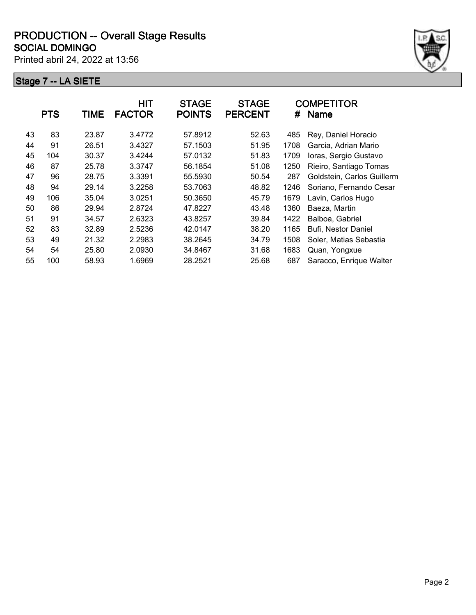Printed abril 24, 2022 at 13:56



|    | <b>PTS</b> | TIME  | <b>HIT</b><br><b>FACTOR</b> | <b>STAGE</b><br><b>POINTS</b> | <b>STAGE</b><br><b>PERCENT</b> | #    | <b>COMPETITOR</b><br><b>Name</b> |
|----|------------|-------|-----------------------------|-------------------------------|--------------------------------|------|----------------------------------|
| 43 | 83         | 23.87 | 3.4772                      | 57.8912                       | 52.63                          | 485  | Rey, Daniel Horacio              |
| 44 | 91         | 26.51 | 3.4327                      | 57.1503                       | 51.95                          | 1708 | Garcia, Adrian Mario             |
| 45 | 104        | 30.37 | 3.4244                      | 57.0132                       | 51.83                          | 1709 | Ioras, Sergio Gustavo            |
| 46 | 87         | 25.78 | 3.3747                      | 56.1854                       | 51.08                          | 1250 | Rieiro, Santiago Tomas           |
| 47 | 96         | 28.75 | 3.3391                      | 55.5930                       | 50.54                          | 287  | Goldstein, Carlos Guillerm       |
| 48 | 94         | 29.14 | 3.2258                      | 53.7063                       | 48.82                          | 1246 | Soriano, Fernando Cesar          |
| 49 | 106        | 35.04 | 3.0251                      | 50.3650                       | 45.79                          | 1679 | Lavin, Carlos Hugo               |
| 50 | 86         | 29.94 | 2.8724                      | 47.8227                       | 43.48                          | 1360 | Baeza, Martin                    |
| 51 | 91         | 34.57 | 2.6323                      | 43.8257                       | 39.84                          | 1422 | Balboa, Gabriel                  |
| 52 | 83         | 32.89 | 2.5236                      | 42.0147                       | 38.20                          | 1165 | Bufi, Nestor Daniel              |
| 53 | 49         | 21.32 | 2.2983                      | 38.2645                       | 34.79                          | 1508 | Soler, Matias Sebastia           |
| 54 | 54         | 25.80 | 2.0930                      | 34.8467                       | 31.68                          | 1683 | Quan, Yongxue                    |
| 55 | 100        | 58.93 | 1.6969                      | 28.2521                       | 25.68                          | 687  | Saracco, Enrique Walter          |
|    |            |       |                             |                               |                                |      |                                  |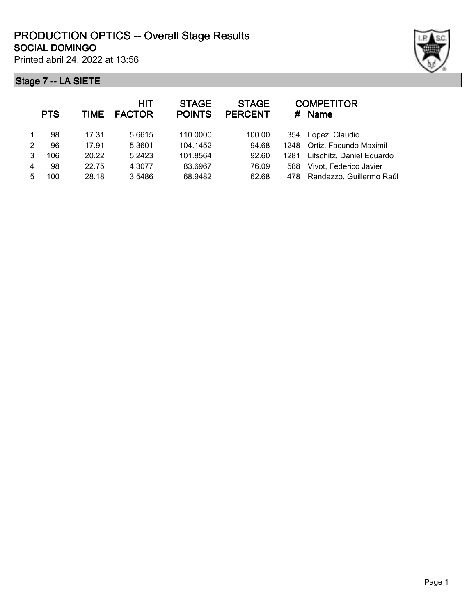Printed abril 24, 2022 at 13:56

|               | <b>PTS</b> | <b>TIME</b> | <b>HIT</b><br><b>FACTOR</b> | <b>STAGE</b><br><b>POINTS</b> | <b>STAGE</b><br><b>PERCENT</b> | #    | <b>COMPETITOR</b><br><b>Name</b> |
|---------------|------------|-------------|-----------------------------|-------------------------------|--------------------------------|------|----------------------------------|
|               | 98         | 17.31       | 5.6615                      | 110,0000                      | 100.00                         | 354  | Lopez, Claudio                   |
| $\mathcal{P}$ | 96         | 17.91       | 5.3601                      | 104.1452                      | 94.68                          |      | 1248 Ortiz, Facundo Maximil      |
| 3             | 106        | 20.22       | 5.2423                      | 101.8564                      | 92.60                          | 1281 | Lifschitz, Daniel Eduardo        |
| 4             | 98         | 22.75       | 4.3077                      | 83.6967                       | 76.09                          | 588  | Vivot, Federico Javier           |
| 5             | 100        | 28.18       | 3.5486                      | 68.9482                       | 62.68                          | 478  | Randazzo, Guillermo Raúl         |
|               |            |             |                             |                               |                                |      |                                  |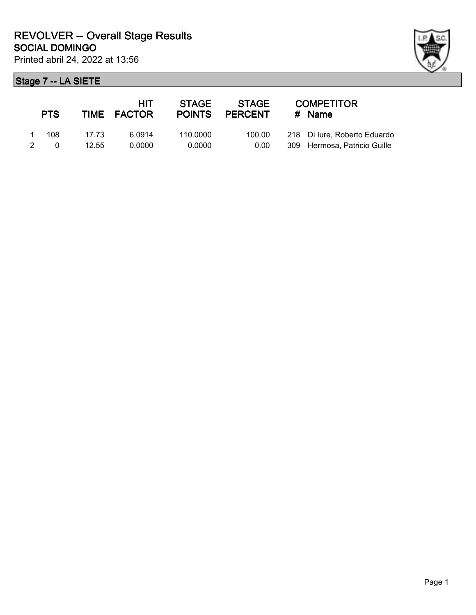| ł |
|---|

| <b>PTS</b> |       | HIT<br>TIME FACTOR | <b>STAGE</b><br><b>POINTS</b> | <b>STAGE</b><br><b>PERCENT</b> | <b>COMPETITOR</b><br>$#$ Name |
|------------|-------|--------------------|-------------------------------|--------------------------------|-------------------------------|
| 108        | 17 73 | 6.0914             | 110.0000                      | 100.00                         | 218 Di lure, Roberto Eduardo  |
| $\Omega$   | 12.55 | 0.0000             | 0.0000                        | 0.00                           | 309 Hermosa, Patricio Guille  |